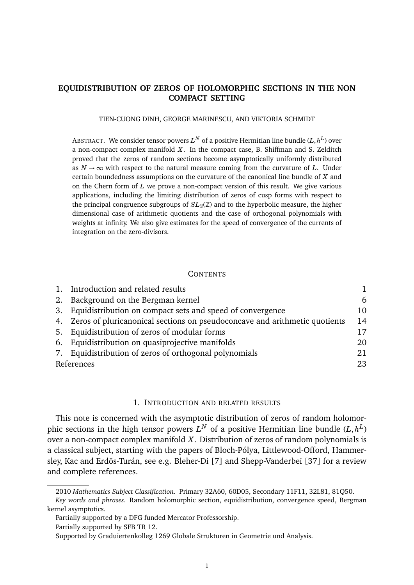# **EQUIDISTRIBUTION OF ZEROS OF HOLOMORPHIC SECTIONS IN THE NON COMPACT SETTING**

### TIEN-CUONG DINH, GEORGE MARINESCU, AND VIKTORIA SCHMIDT

ABSTRACT. We consider tensor powers  $L^N$  of a positive Hermitian line bundle ( $L,h^L$ ) over a non-compact complex manifold *X*. In the compact case, B. Shiffman and S. Zelditch proved that the zeros of random sections become asymptotically uniformly distributed as  $N \to \infty$  with respect to the natural measure coming from the curvature of L. Under certain boundedness assumptions on the curvature of the canonical line bundle of *X* and on the Chern form of *L* we prove a non-compact version of this result. We give various applications, including the limiting distribution of zeros of cusp forms with respect to the principal congruence subgroups of  $SL_2(\mathbb{Z})$  and to the hyperbolic measure, the higher dimensional case of arithmetic quotients and the case of orthogonal polynomials with weights at infinity. We also give estimates for the speed of convergence of the currents of integration on the zero-divisors.

### **CONTENTS**

| 1. Introduction and related results                                           |    |
|-------------------------------------------------------------------------------|----|
| 2. Background on the Bergman kernel                                           | 6  |
| 3. Equidistribution on compact sets and speed of convergence                  | 10 |
| 4. Zeros of pluricanonical sections on pseudoconcave and arithmetic quotients | 14 |
| 5. Equidistribution of zeros of modular forms                                 | 17 |
| 6. Equidistribution on quasiprojective manifolds                              | 20 |
| 7. Equidistribution of zeros of orthogonal polynomials                        | 21 |
| References                                                                    |    |

### 1. INTRODUCTION AND RELATED RESULTS

This note is concerned with the asymptotic distribution of zeros of random holomorphic sections in the high tensor powers  $L^N$  of a positive Hermitian line bundle  $(L, h^L)$ over a non-compact complex manifold *X*. Distribution of zeros of random polynomials is a classical subject, starting with the papers of Bloch-Pólya, Littlewood-Offord, Hammersley, Kac and Erdös-Turán, see e.g. Bleher-Di [7] and Shepp-Vanderbei [37] for a review and complete references.

Partially supported by SFB TR 12.

<sup>2010</sup> *Mathematics Subject Classification.* Primary 32A60, 60D05, Secondary 11F11, 32L81, 81Q50.

*Key words and phrases.* Random holomorphic section, equidistribution, convergence speed, Bergman kernel asymptotics.

Partially supported by a DFG funded Mercator Professorship.

Supported by Graduiertenkolleg 1269 Globale Strukturen in Geometrie und Analysis.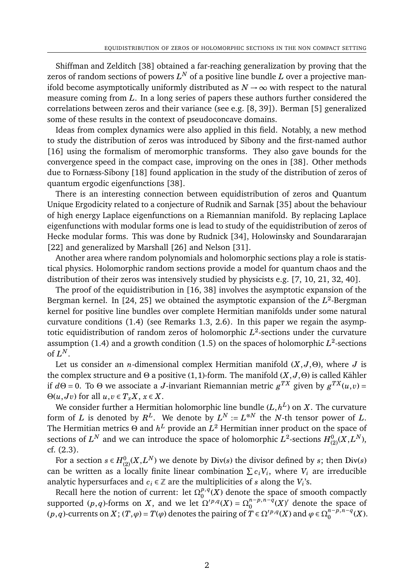Shiffman and Zelditch [38] obtained a far-reaching generalization by proving that the zeros of random sections of powers  $L^N$  of a positive line bundle  $L$  over a projective manifold become asymptotically uniformly distributed as  $N \rightarrow \infty$  with respect to the natural measure coming from *L*. In a long series of papers these authors further considered the correlations between zeros and their variance (see e.g. [8, 39]). Berman [5] generalized some of these results in the context of pseudoconcave domains.

Ideas from complex dynamics were also applied in this field. Notably, a new method to study the distribution of zeros was introduced by Sibony and the first-named author [16] using the formalism of meromorphic transforms. They also gave bounds for the convergence speed in the compact case, improving on the ones in [38]. Other methods due to Fornæss-Sibony [18] found application in the study of the distribution of zeros of quantum ergodic eigenfunctions [38].

There is an interesting connection between equidistribution of zeros and Quantum Unique Ergodicity related to a conjecture of Rudnik and Sarnak [35] about the behaviour of high energy Laplace eigenfunctions on a Riemannian manifold. By replacing Laplace eigenfunctions with modular forms one is lead to study of the equidistribution of zeros of Hecke modular forms. This was done by Rudnick [34], Holowinsky and Soundararajan [22] and generalized by Marshall [26] and Nelson [31].

Another area where random polynomials and holomorphic sections play a role is statistical physics. Holomorphic random sections provide a model for quantum chaos and the distribution of their zeros was intensively studied by physicists e.g. [7, 10, 21, 32, 40].

The proof of the equidistribution in [16, 38] involves the asymptotic expansion of the Bergman kernel. In [24, 25] we obtained the asymptotic expansion of the L<sup>2</sup>-Bergman kernel for positive line bundles over complete Hermitian manifolds under some natural curvature conditions (1.4) (see Remarks 1.3, 2.6). In this paper we regain the asymptotic equidistribution of random zeros of holomorphic *L* 2 -sections under the curvature assumption (1.4) and a growth condition (1.5) on the spaces of holomorphic  $L^2$ -sections of  $L^N$ .

Let us consider an *n*-dimensional complex Hermitian manifold (*X*, *J*,Θ), where *J* is the complex structure and Θ a positive (1,1)-form. The manifold (*X*, *J*,Θ) is called Kähler if  $d\Theta = 0$ . To  $\Theta$  we associate a *J*-invariant Riemannian metric  $g^{TX}$  given by  $g^{TX}(u,v) = 0$  $\Theta(u, Jv)$  for all  $u, v \in T_xX, x \in X$ .

We consider further a Hermitian holomorphic line bundle  $(L, h^L)$  on  $X$ . The curvature form of *L* is denoted by  $R^L$ . We denote by  $L^N := L^{\otimes N}$  the *N*-th tensor power of *L*. The Hermitian metrics  $\Theta$  and  $h^L$  provide an  $L^2$  Hermitian inner product on the space of sections of  $L^N$  and we can introduce the space of holomorphic  $L^2$ -sections  $H^0_{(2)}(X,L^N),$ cf. (2.3).

For a section  $s \in H_{(2)}^{0}(X, L^N)$  we denote by Div( $s$ ) the divisor defined by  $s$ ; then Div( $s$ ) can be written as a locally finite linear combination  $\sum c_i V_i$ , where  $V_i$  are irreducible analytic hypersurfaces and  $c_i \in \mathbb{Z}$  are the multiplicities of *s* along the  $V_i$ 's.

Recall here the notion of current: let  $\Omega_0^{p,q}$  $\binom{p,q}{0}(X)$  denote the space of smooth compactly supported (*p*,*q*)-forms on *X*, and we let  $\Omega^{p,q}(X) = \Omega_0^{n-p,n-q}$  $\binom{n-p, n-q}{0}$  *(X)'* denote the space of  $(p,q)$ -currents on *X*;  $(T, \varphi) = T(\varphi)$  denotes the pairing of  $T \in \Omega^{p,q}(X)$  and  $\varphi \in \Omega_0^{n-p,n-q}$  $_{0}^{n-p,n-q}(X).$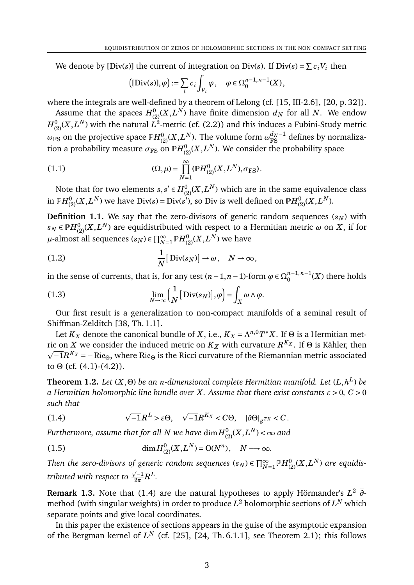We denote by [Div(*s*)] the current of integration on Div(*s*). If Div(*s*) =  $\sum c_i V_i$  then

$$
\left(\left[\text{Div}(s)\right],\varphi\right):=\sum_{i}c_i\int_{V_i}\varphi\,,\quad \varphi\in\Omega^{n-1,n-1}_0(X)\,,
$$

where the integrals are well-defined by a theorem of Lelong (cf. [15, III-2.6], [20, p. 32]).

Assume that the spaces  $H^0_{(2)}(X,L^N)$  have finite dimension  $d_N$  for all  $N.$  We endow  $H^0_{(2)}(X,L^N)$  with the natural  $L^2$ -metric (cf. (2.2)) and this induces a Fubini-Study metric  $\omega_{\rm FS}$  on the projective space  $\mathbb{P}H_{(2)}^{0}(X,L^{N}).$  The volume form  $\omega_{\rm FS}^{d_{N}-1}$  defines by normalization a probability measure  $\sigma_{\rm FS}$  on  $\mathbb{P} H_{(2)}^{0}(X,L^{N}).$  We consider the probability space

(1.1) 
$$
(\Omega, \mu) = \prod_{N=1}^{\infty} (\mathbb{P}H_{(2)}^{0}(X, L^{N}), \sigma_{\text{FS}}).
$$

Note that for two elements  $s, s' \in H_{(2)}^{0}(X, L^{N})$  which are in the same equivalence class in  $\mathbb{P}H_{(2)}^{0}(X,L^{N})$  we have  $\text{Div}(s) = \text{Div}(s'),$  so  $\text{Div}$  is well defined on  $\mathbb{P}H_{(2)}^{0}(X,L^{N}).$ 

**Definition 1.1.** We say that the zero-divisors of generic random sequences  $(s_N)$  with  $s_N \in \mathbb P H_{(2)}^{0}(X,L^{N})$  are equidistributed with respect to a Hermitian metric  $\omega$  on  $X,$  if for *µ*-almost all sequences  $(s_N)$  ∈  $\prod_{N=1}^{\infty}$   $\mathbb{P}H_{(2)}^{0}(X, L^N)$  we have

(1.2) 
$$
\frac{1}{N}[\text{Div}(s_N)] \to \omega, \quad N \to \infty,
$$

in the sense of currents, that is, for any test  $(n-1, n-1)$ -form  $\varphi \in \Omega_0^{n-1,n-1}$  $\binom{n-1}{0}$  (*X*) there holds

(1.3) 
$$
\lim_{N \to \infty} \left( \frac{1}{N} \left[ \text{Div}(s_N) \right], \varphi \right) = \int_X \omega \wedge \varphi.
$$

Our first result is a generalization to non-compact manifolds of a seminal result of Shiffman-Zelditch [38, Th. 1.1].

Let  $K_X$  denote the canonical bundle of  $X$ , i.e.,  $K_X = \Lambda^{n,0} T^*X$ . If  $\Theta$  is a Hermitian metric on *X* we consider the induced metric on  $K_X$  with curvature  $R^{K_X}$ . If  $\Theta$  is Kähler, then  $\overline{-1}R^{K_X}$  = − Ric $_\Theta$ , where Ric $_\Theta$  is the Ricci curvature of the Riemannian metric associated to  $\Theta$  (cf. (4.1)-(4.2)).

**Theorem 1.2.** *Let* (*X*,Θ) *be an n-dimensional complete Hermitian manifold. Let* (*L*,*h L* ) *be a Hermitian holomorphic line bundle over X. Assume that there exist constants ε* > 0*, C* > 0 *such that*

(1.4) 
$$
\sqrt{-1}R^{L} > \varepsilon \Theta, \quad \sqrt{-1}R^{K_X} < C\Theta, \quad |\partial \Theta|_{g^{TX}} < C.
$$

Furthermore, assume that for all  $N$  we have  $\dim\!^0_{(2)}\!(X,\!L^N)\!<\!\infty$  and

(1.5) 
$$
\dim H^0_{(2)}(X,L^N) = O(N^n), \quad N \longrightarrow \infty.
$$

*Then the zero-divisors of generic random sequences*  $(s_N)$  $\in \prod_{N=1}^{\infty} \mathbb{P} H_{(2)}^{0}(X,L^N)$  *are equidistributed with respect to*  $\frac{\sqrt{-1}}{2\pi}$  $\frac{\sqrt{-1}}{2\pi}R^L$ .

**Remark 1.3.** Note that (1.4) are the natural hypotheses to apply Hörmander's *L* <sup>2</sup> *∂* method (with singular weights) in order to produce  $L^2$  holomorphic sections of  $L^N$  which separate points and give local coordinates.

In this paper the existence of sections appears in the guise of the asymptotic expansion of the Bergman kernel of  $L^N$  (cf. [25], [24, Th. 6.1.1], see Theorem 2.1); this follows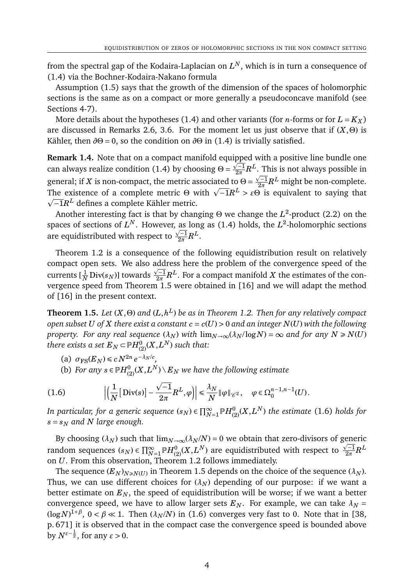from the spectral gap of the Kodaira-Laplacian on  $L^N,$  which is in turn a consequence of (1.4) via the Bochner-Kodaira-Nakano formula

Assumption (1.5) says that the growth of the dimension of the spaces of holomorphic sections is the same as on a compact or more generally a pseudoconcave manifold (see Sections 4-7).

More details about the hypotheses (1.4) and other variants (for *n*-forms or for  $L = K_X$ ) are discussed in Remarks 2.6, 3.6. For the moment let us just observe that if  $(X, \Theta)$  is Kähler, then  $\partial \Theta = 0$ , so the condition on  $\partial \Theta$  in (1.4) is trivially satisfied.

**Remark 1.4.** Note that on a compact manifold equipped with a positive line bundle one p can always realize condition (1.4) by choosing  $\Theta = \frac{\sqrt{-1}}{2\pi}$  $\frac{\sqrt{-1}}{2\pi}R^L.$  This is not always possible in general; if *X* is non-compact, the metric associated to  $\Theta = \frac{\sqrt{-1}}{2\pi}$  $\frac{\sqrt{-1}}{2\pi}R^L$  might be non-complete. generar, if *x* is non-compact, the metric associated to  $\Theta = \frac{1}{2\pi}R$  imight be non-complete.<br>The existence of a complete metric  $\Theta$  with  $\sqrt{-1}R^L > \varepsilon \Theta$  is equivalent to saying that −1*R <sup>L</sup>* defines a complete Kähler metric.

Another interesting fact is that by changing Θ we change the *L* 2 -product (2.2) on the spaces of sections of  $L^N$ . However, as long as (1.4) holds, the  $L^2$ -holomorphic sections are equidistributed with respect to  $\frac{\sqrt{-1}}{2\pi}$  $\frac{\sqrt{-1}}{2\pi}R^L.$ 

Theorem 1.2 is a consequence of the following equidistribution result on relatively compact open sets. We also address here the problem of the convergence speed of the p currents [ $\frac{1}{N}$ Div( $s_N$ )] towards  $\frac{\sqrt{-1}}{2\pi}$  $\frac{2-1}{2\pi}R^L.$  For a compact manifold  $X$  the estimates of the convergence speed from Theorem 1.5 were obtained in [16] and we will adapt the method of [16] in the present context.

**Theorem 1.5.** Let  $(X, \Theta)$  and  $(L, h^L)$  be as in Theorem 1.2. Then for any relatively compact *open subset U* of *X* there exist a constant  $c = c(U) > 0$  and an integer  $N(U)$  with the following *property. For any real sequence*  $(\lambda_N)$  *with*  $\lim_{N\to\infty}$  $(\lambda_N/\log N) = \infty$  *and for any*  $N \ge N(U)$  $t$ here exists a set  $E_N$   $\subset$   $\mathbb{P} H_{(2)}^{0}(X, L^N)$  such that:

- $\sigma_{\text{FS}}(E_N) \le c N^{2n} e^{-\lambda_N/c}$ ,
- (b) *For any*  $s \in \mathbb{P} H_{(2)}^{0}(X, L^{N}) \setminus E_{N}$  *we have the following estimate*

(1.6) 
$$
\left|\left(\frac{1}{N}\left[\text{Div}(s)\right] - \frac{\sqrt{-1}}{2\pi}R^L, \varphi\right)\right| \leq \frac{\lambda_N}{N} \|\varphi\|_{\mathscr{C}^2}, \quad \varphi \in \Omega_0^{n-1, n-1}(U).
$$

*In particular, for a generic sequence* ( $s_N$ )  $\in \prod_{N=1}^\infty \mathbb{P} H_{(2)}^{0}(X,L^N)$  *the estimate* (1.6) *holds for*  $s = s_N$  *and N large enough.* 

By choosing  $(\lambda_N)$  such that  $\lim_{N\to\infty} (\lambda_N/N) = 0$  we obtain that zero-divisors of generic random sequences  $(s_N) \in \prod_{N=1}^\infty \mathbb{P} H_{(2)}^{0}(X,L^N)$  are equidistributed with respect to  $\frac{\sqrt{-1}}{2\pi}$  $\frac{\sqrt{-1}}{2\pi}R^L$ on *U*. From this observation, Theorem 1.2 follows immediately.

The sequence  $(E_N)_{N\geq N(U)}$  in Theorem 1.5 depends on the choice of the sequence  $(\lambda_N)$ . Thus, we can use different choices for  $(\lambda_N)$  depending of our purpose: if we want a better estimate on  $E_N$ , the speed of equidistribution will be worse; if we want a better convergence speed, we have to allow larger sets  $E_N$ . For example, we can take  $\lambda_N =$  $(\log N)^{1+\beta}$ ,  $0 < \beta \ll 1$ . Then  $(\lambda_N/N)$  in (1.6) converges very fast to 0. Note that in [38, p. 671] it is observed that in the compact case the convergence speed is bounded above by  $N^{\varepsilon-\frac{1}{2}}$ , for any  $\varepsilon > 0$ .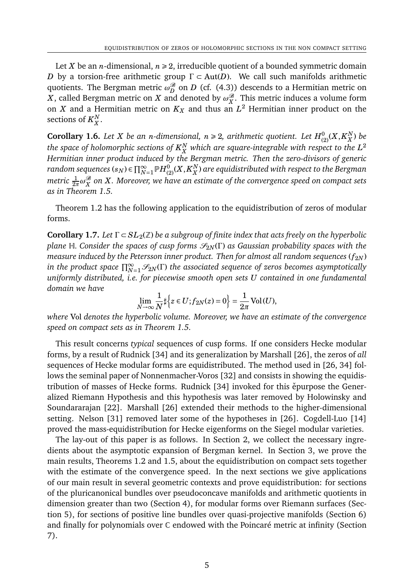Let *X* be an *n*-dimensional,  $n \ge 2$ , irreducible quotient of a bounded symmetric domain *D* by a torsion-free arithmetic group  $\Gamma \subset \text{Aut}(D)$ . We call such manifolds arithmetic quotients. The Bergman metric  $\omega_D^{\mathscr{B}}$  on  $D$  (cf. (4.3)) descends to a Hermitian metric on *X* , called Bergman metric on *X* and denoted by  $\omega_X^{\mathscr{B}}$  . This metric induces a volume form on  $X$  and a Hermitian metric on  $K_X$  and thus an  $L^2$  Hermitian inner product on the sections of  $K_{\rm\scriptscriptstyle X}^N$ *X* .

Corollary 1.6. *Let X be an n-dimensional, n*  $\geq$  2, arithmetic quotient. *Let*  $H^0_{(2)}(X,K_X^N)$ *X* ) *be* the space of holomorphic sections of  $K_{X}^N$  $^N_X$  which are square-integrable with respect to the  $L^2$ *Hermitian inner product induced by the Bergman metric. Then the zero-divisors of generic*  $r$ andom sequences ( $s_N$ )  $\in \prod_{N=1}^\infty \mathbb{P} H_{(2)}^{0}(X, K_X^N)$ *X* ) *are equidistributed with respect to the Bergman metric* <sup>1</sup> 2*π ω* B *X on X. Moreover, we have an estimate of the convergence speed on compact sets as in Theorem 1.5.*

Theorem 1.2 has the following application to the equidistribution of zeros of modular forms.

**Corollary 1.7.** *Let* Γ ⊂ *SL*2(Z) *be a subgroup of finite index that acts freely on the hyperbolic plane* H. *Consider the spaces of cusp forms*  $\mathcal{S}_{2N}(\Gamma)$  *as Gaussian probability spaces with the measure induced by the Petersson inner product. Then for almost all random sequences*  $(f_{2N})$ in the product space  $\prod_{N=1}^{\infty}\mathscr{S}_{2N}(\Gamma)$  the associated sequence of zeros becomes asymptotically *uniformly distributed, i.e. for piecewise smooth open sets U contained in one fundamental domain we have*

$$
\lim_{N \to \infty} \frac{1}{N} \sharp \Big\{ z \in U; f_{2N}(z) = 0 \Big\} = \frac{1}{2\pi} \operatorname{Vol}(U),
$$

*where* Vol *denotes the hyperbolic volume. Moreover, we have an estimate of the convergence speed on compact sets as in Theorem 1.5.*

This result concerns *typical* sequences of cusp forms. If one considers Hecke modular forms, by a result of Rudnick [34] and its generalization by Marshall [26], the zeros of *all* sequences of Hecke modular forms are equidistributed. The method used in [26, 34] follows the seminal paper of Nonnenmacher-Voros [32] and consists in showing the equidistribution of masses of Hecke forms. Rudnick [34] invoked for this epurpose the Generalized Riemann Hypothesis and this hypothesis was later removed by Holowinsky and Soundararajan [22]. Marshall [26] extended their methods to the higher-dimensional setting. Nelson [31] removed later some of the hypotheses in [26]. Cogdell-Luo [14] proved the mass-equidistribution for Hecke eigenforms on the Siegel modular varieties.

The lay-out of this paper is as follows. In Section 2, we collect the necessary ingredients about the asymptotic expansion of Bergman kernel. In Section 3, we prove the main results, Theorems 1.2 and 1.5, about the equidistribution on compact sets together with the estimate of the convergence speed. In the next sections we give applications of our main result in several geometric contexts and prove equidistribution: for sections of the pluricanonical bundles over pseudoconcave manifolds and arithmetic quotients in dimension greater than two (Section 4), for modular forms over Riemann surfaces (Section 5), for sections of positive line bundles over quasi-projective manifolds (Section 6) and finally for polynomials over C endowed with the Poincaré metric at infinity (Section 7).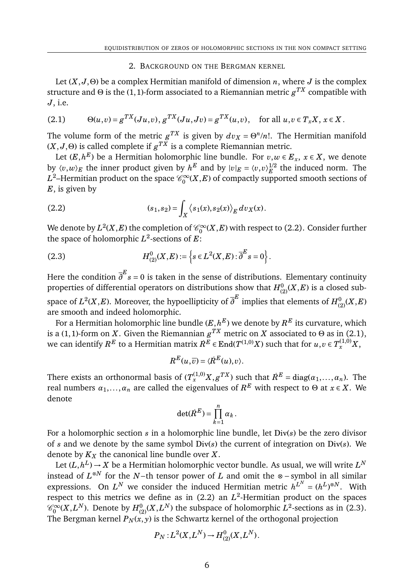### 2. BACKGROUND ON THE BERGMAN KERNEL

Let  $(X, J, \Theta)$  be a complex Hermitian manifold of dimension *n*, where *J* is the complex structure and Θ is the (1, 1)-form associated to a Riemannian metric  $g^{TX}$  compatible with *J*, i.e.

(2.1) 
$$
\Theta(u,v) = g^{TX}(Ju,v), g^{TX}(Ju,Jv) = g^{TX}(u,v), \text{ for all } u,v \in T_xX, x \in X.
$$

The volume form of the metric  $g^{TX}$  is given by  $dv_X = \Theta^n/n!$ . The Hermitian manifold  $(X, J, \Theta)$  is called complete if  $g^{TX}$  is a complete Riemannian metric.

Let  $(E, h^E)$  be a Hermitian holomorphic line bundle. For  $v, w \in E_x, \ x \in X,$  we denote by  $\langle v, w \rangle_E$  the inner product given by  $h^E$  and by  $|v|_E = \langle v, v \rangle_E^{1/2}$  $E^{\text{1/2}}$  the induced norm. The  $L^2$ –Hermitian product on the space  $\mathscr{C}_0^\infty$  $\int_0^\infty (X,E)$  of compactly supported smooth sections of *E*, is given by

(2.2) 
$$
(s_1, s_2) = \int_X \langle s_1(x), s_2(x) \rangle_E dv_X(x).
$$

We denote by  $L^2(X,E)$  the completion of  $\mathscr{C}_0^\infty$  $\int_0^\infty$ (*X,E*) with respect to (2.2). Consider further the space of holomorphic  $L^2$ -sections of  $E$ :

(2.3) 
$$
H_{(2)}^{0}(X,E) := \left\{ s \in L^{2}(X,E) : \overline{\partial}^{E} s = 0 \right\}.
$$

Here the condition *∂ E s* = 0 is taken in the sense of distributions. Elementary continuity properties of differential operators on distributions show that  $H^0_{(2)}(X,E)$  is a closed subspace of  $L^2(X,E).$  Moreover, the hypoellipticity of  $\overline{\partial}^E$  implies that elements of  $H^0_{(2)}(X,E)$ are smooth and indeed holomorphic.

For a Hermitian holomorphic line bundle  $(E,h^E)$  we denote by  $R^E$  its curvature, which is a (1,1)-form on  $X$ . Given the Riemannian  $g^{TX}$  metric on  $X$  associated to  $\Theta$  as in (2.1), we can identify  $R^E$  to a Hermitian matrix  $\dot{R}^E$   $\in$   $\rm{End}(\it{T}^{(1,0)}\it{X})$  such that for  $u,v$   $\in$   $\it{T}^{(1,0)}_x\times$   $\it{X}$ 

$$
R^{E}(u,\overline{v}) = \langle \dot{R}^{E}(u),v \rangle.
$$

There exists an orthonormal basis of  $(T^{(1,0)}_xX,g^{TX})$  such that  $\dot{R}^E = \text{diag}(\alpha_1,\ldots,\alpha_n).$  The real numbers  $\alpha_1, \ldots, \alpha_n$  are called the eigenvalues of  $R^E$  with respect to  $\Theta$  at  $x \in X.$  We denote

$$
\det(\dot{R}^E) = \prod_{k=1}^n \alpha_k.
$$

For a holomorphic section *s* in a holomorphic line bundle, let Div(*s*) be the zero divisor of *s* and we denote by the same symbol Div(*s*) the current of integration on Div(*s*). We denote by *K<sup>X</sup>* the canonical line bundle over *X*.

Let  $(L, h^L)$   $\rightarrow$   $X$  be a Hermitian holomorphic vector bundle. As usual, we will write  $L^N$ instead of *L* <sup>⊗</sup>*<sup>N</sup>* for the *N*−th tensor power of *L* and omit the ⊗ − symbol in all similar expressions. On  $L^N$  we consider the induced Hermitian metric  $h^{L^N} = (h^L)^{\otimes N}$ . With respect to this metrics we define as in  $(2.2)$  an  $L^2$ -Hermitian product on the spaces  $\mathscr{C}_0^\infty$  $\int_0^\infty (X,L^N).$  Denote by  $H^0_{(2)}(X,L^N)$  the subspace of holomorphic  $L^2$ -sections as in (2.3). The Bergman kernel  $P_N(x, y)$  is the Schwartz kernel of the orthogonal projection

$$
P_N: L^2(X, L^N) \to H^0_{(2)}(X, L^N).
$$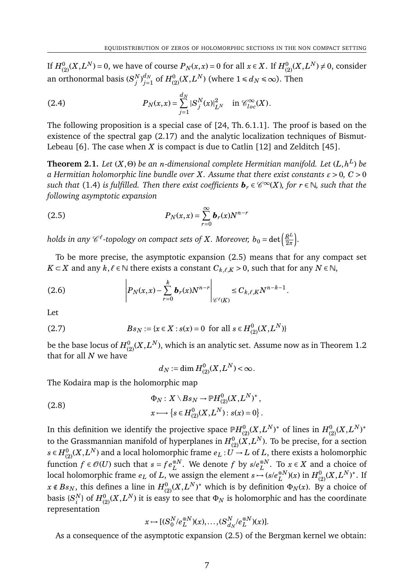If  $H_{(2)}^{0}(X,L^{N})$  = 0, we have of course  $P_{N}(x,x)$  = 0 for all  $x\in X.$  If  $H_{(2)}^{0}(X,L^{N})\neq 0,$  consider an orthonormal basis  $(S_i^N)$  $\binom{N}{j}$  $_{j=1}^{d_{N}}$  of  $H_{(2)}^{0}(X, L^{N})$  (where  $1 \leqslant d_{N} \leqslant \infty$ ). Then

(2.4) 
$$
P_N(x,x) = \sum_{j=1}^{d_N} |S_j^N(x)|_{L^N}^2 \text{ in } \mathcal{C}_{loc}^{\infty}(X).
$$

The following proposition is a special case of [24, Th. 6.1.1]. The proof is based on the existence of the spectral gap (2.17) and the analytic localization techniques of Bismut-Lebeau [6]. The case when *X* is compact is due to Catlin [12] and Zelditch [45].

**Theorem 2.1.** *Let* (*X*,Θ) *be an n-dimensional complete Hermitian manifold. Let* (*L*,*h L* ) *be a Hermitian holomorphic line bundle over X. Assume that there exist constants ε* > 0*, C* > 0  $s$ uch that (1.4) is fulfilled. Then there exist coefficients  $\bm{b}_r \in \mathscr{C}^\infty(X)$ , for  $r \in \mathbb{N}$ , such that the *following asymptotic expansion*

(2.5) 
$$
P_N(x,x) = \sum_{r=0}^{\infty} b_r(x) N^{n-r}
$$

 $h$ olds in any  $\mathscr{C}^\ell$ -topology on compact sets of  $X$ . Moreover,  $b_0 = \det \bigl(\frac{R^L}{2\pi}\bigr)$ 2*π* ´ *.*

To be more precise, the asymptotic expansion (2.5) means that for any compact set *K* ⊂ *X* and any  $k, l \in \mathbb{N}$  there exists a constant  $C_{k, l, K} > 0$ , such that for any  $N \in \mathbb{N}$ ,

(2.6) 
$$
\left| P_N(x,x) - \sum_{r=0}^k b_r(x) N^{n-r} \right|_{\mathscr{C}^{\ell}(K)} \leq C_{k,\ell,K} N^{n-k-1}.
$$

Let

(2.7) 
$$
Bs_N := \{x \in X : s(x) = 0 \text{ for all } s \in H^0_{(2)}(X, L^N)\}
$$

be the base locus of  $H_{(2)}^{0}(X,L^{N}),$  which is an analytic set. Assume now as in Theorem  $1.2\,$ that for all *N* we have

$$
d_N := \dim H^0_{(2)}(X, L^N) < \infty.
$$

The Kodaira map is the holomorphic map

(2.8) 
$$
\Phi_N: X \setminus Bs_N \to \mathbb{P}H^0_{(2)}(X,L^N)^*,
$$

$$
x \longmapsto \{s \in H^0_{(2)}(X,L^N): s(x) = 0\}.
$$

In this definition we identify the projective space  $\mathbb{P}H_{(2)}^{0}(X,L^{N})^{\ast}$  of lines in  $H_{(2)}^{0}(X,L^{N})^{\ast}$ to the Grassmannian manifold of hyperplanes in  $H^0_{(2)}(X,L^N).$  To be precise, for a section  $s \in H_{(2)}^{0}(X,L^{N})$  and a local holomorphic frame  $e_{L}:U \rightarrow L$  of  $L,$  there exists a holomorphic function  $f \in \mathcal{O}(U)$  such that  $s = fe_L^{\otimes N}$ . We denote  $f$  by  $s/e_L^{\otimes N}$ <sup>⊗*N*</sup>. To *x* ∈ *X* and a choice of local holomorphic frame  $e_L$  of  $L$ , we assign the element  $s \mapsto (s/e_L^{\otimes N})$  $L^{8N}(x)$  in  $H^0_{(2)}(X,L^N)^*$ . If  $x \notin Bs_N$ , this defines a line in  $H^0_{(2)}(X,L^N)^*$  which is by definition  $\Phi_N(x)$ . By a choice of basis  $\{S_i^N\}$  $_{i}^{N}\}$  of  $H_{(2)}^{0}(X,L^{N})$  it is easy to see that  $\Phi_{N}$  is holomorphic and has the coordinate representation

$$
x \mapsto [(S_0^N/e_L^{\otimes N})(x), \dots, (S_{d_N}^N/e_L^{\otimes N})(x)].
$$

As a consequence of the asymptotic expansion (2.5) of the Bergman kernel we obtain: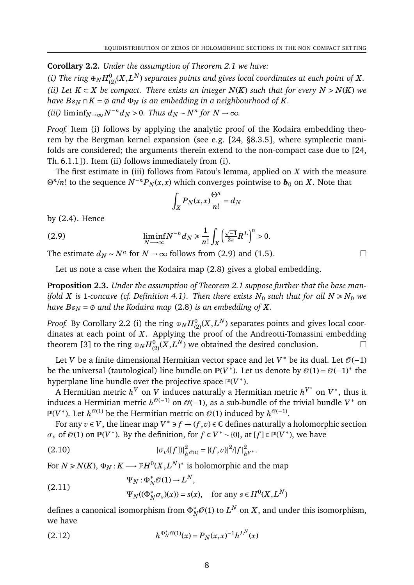**Corollary 2.2.** *Under the assumption of Theorem 2.1 we have:*

(i) The ring  $\oplus_N H_{(2)}^{0}(X,L^N)$  separates points and gives local coordinates at each point of  $X.$ *(ii)* Let  $K ⊂ X$  be compact. There exists an integer  $N(K)$  such that for every  $N > N(K)$  we *have*  $Bs_N \cap K = \emptyset$  and  $\Phi_N$  *is an embedding in a neighbourhood of K. (iii)* lim inf<sub>*N*→∞</sub>  $N^{-n}$ *d<sub>N</sub>* > 0*. Thus*  $d_N \sim N^n$  *for*  $N \to \infty$ *.* 

*Proof.* Item (i) follows by applying the analytic proof of the Kodaira embedding theorem by the Bergman kernel expansion (see e.g. [24, §8.3.5], where symplectic manifolds are considered; the arguments therein extend to the non-compact case due to [24, Th. 6.1.1]). Item (ii) follows immediately from (i).

The first estimate in (iii) follows from Fatou's lemma, applied on *X* with the measure  $\Theta^n/n!$  to the sequence  $N^{-n}P_N(x,x)$  which converges pointwise to  $\boldsymbol{b}_0$  on *X*. Note that

$$
\int_X P_N(x,x) \frac{\Theta^n}{n!} = d_N
$$

by (2.4). Hence

(2.9) 
$$
\liminf_{N \to \infty} N^{-n} d_N \ge \frac{1}{n!} \int_X \left(\frac{\sqrt{-1}}{2\pi} R^L\right)^n > 0.
$$

The estimate  $d_N \sim N^n$  for  $N \to \infty$  follows from (2.9) and (1.5).

Let us note a case when the Kodaira map (2.8) gives a global embedding.

**Proposition 2.3.** *Under the assumption of Theorem 2.1 suppose further that the base manifold X* is 1-concave (cf. Definition 4.1). Then there exists  $N_0$  such that for all  $N \ge N_0$  we *have*  $Bs_N = \emptyset$  and the Kodaira map (2.8) *is an embedding of X.* 

*Proof.* By Corollary 2.2 (i) the ring  $\oplus_N H_{(2)}^{0}(X,L^N)$  separates points and gives local coordinates at each point of *X*. Applying the proof of the Andreotti-Tomassini embedding theorem [3] to the ring  $\oplus_N H_{(2)}^{0}(X,L^N)$  we obtained the desired conclusion.

Let *V* be a finite dimensional Hermitian vector space and let *V*<sup>∗</sup> be its dual. Let  $\mathcal{O}(-1)$ be the universal (tautological) line bundle on  $\mathbb{P}(V^*)$ . Let us denote by  $\mathcal{O}(1) = \mathcal{O}(-1)^*$  the hyperplane line bundle over the projective space <sup>p</sup>(V<sup>∗</sup>).

A Hermitian metric  $h^V$  on *V* induces naturally a Hermitian metric  $h^{V^*}$  on  $V^*$ , thus it induces a Hermitian metric  $h^{\mathscr{O}(-1)}$  on  $\mathscr{O}(-1)$ , as a sub-bundle of the trivial bundle  $V^*$  on  $\mathbb{P}(V^*)$ . Let  $h^{\mathscr{O}(1)}$  be the Hermitian metric on  $\mathscr{O}(1)$  induced by  $h^{\mathscr{O}(-1)}$ .

For any  $v \in V$ , the linear map  $V^* \ni f \to (f, v) \in \mathbb{C}$  defines naturally a holomorphic section  $\sigma$ *v* of  $\mathcal{O}(1)$  on  $\mathbb{P}(V^*)$ . By the definition, for  $f \in V^* \setminus \{0\}$ , at  $[f] \in \mathbb{P}(V^*)$ , we have

(2.10) 
$$
|\sigma_v([f])|^2_{h^{\mathcal{O}(1)}} = |(f,v)|^2/|f|^2_{h^{V^*}}.
$$

For  $N \ge N(K)$ ,  $\Phi_N : K \longrightarrow \mathbb P H^0(X,L^N)^*$  is holomorphic and the map

(2.11) 
$$
\Psi_N : \Phi_N^* \mathcal{O}(1) \to L^N,
$$

$$
\Psi_N((\Phi_N^* \sigma_s)(x)) = s(x), \text{ for any } s \in H^0(X, L^N)
$$

defines a canonical isomorphism from  $\Phi_N^*{\mathcal O}(1)$  to  $L^N$  on  $X,$  and under this isomorphism, we have

(2.12) 
$$
h^{\Phi_N^* \mathcal{O}(1)}(x) = P_N(x,x)^{-1} h^{L^N}(x)
$$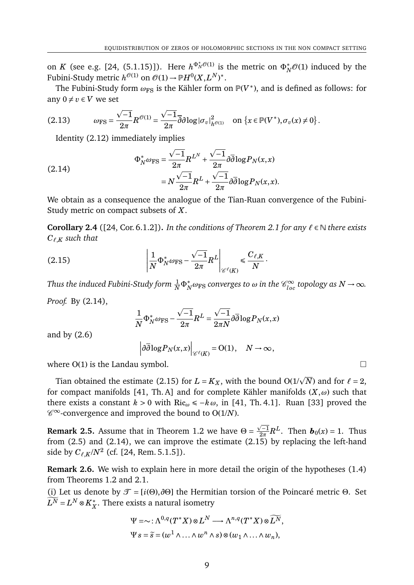on *K* (see e.g. [24, (5.1.15)]). Here  $h^{\Phi_N^*\mathcal{O}(1)}$  is the metric on  $\Phi_N^*\mathcal{O}(1)$  induced by the Fubini-Study metric  $h^{\mathcal{O}(1)}$  on  $\mathcal{O}(1) \to \mathbb{P} H^0(X, L^N)^*.$ 

The Fubini-Study form  $\omega_{\text{FS}}$  is the Kähler form on  $\mathbb{P}(V^*)$ , and is defined as follows: for any  $0 \neq v \in V$  we set

(2.13) 
$$
\omega_{\text{FS}} = \frac{\sqrt{-1}}{2\pi} R^{\mathcal{O}(1)} = \frac{\sqrt{-1}}{2\pi} \overline{\partial} \partial \log |\sigma_v|_{h^{\mathcal{O}(1)}}^2 \quad \text{on } \{x \in \mathbb{P}(V^*), \sigma_v(x) \neq 0\}.
$$

Identity (2.12) immediately implies

(2.14)  
\n
$$
\Phi_N^* \omega_{\text{FS}} = \frac{\sqrt{-1}}{2\pi} R^{L^N} + \frac{\sqrt{-1}}{2\pi} \partial \overline{\partial} \log P_N(x, x)
$$
\n
$$
= N \frac{\sqrt{-1}}{2\pi} R^L + \frac{\sqrt{-1}}{2\pi} \partial \overline{\partial} \log P_N(x, x).
$$

We obtain as a consequence the analogue of the Tian-Ruan convergence of the Fubini-Study metric on compact subsets of *X*.

**Corollary 2.4** ([24, Cor. 6.1.2]). *In the conditions of Theorem 2.1 for any*  $\ell \in \mathbb{N}$  *there exists C`*,*<sup>K</sup> such that*

$$
(2.15) \qquad \left|\frac{1}{N}\Phi_N^*\omega_{\rm FS} - \frac{\sqrt{-1}}{2\pi}R^L\right|_{\mathscr{C}^{\ell}(K)} \leq \frac{C_{\ell,K}}{N}.
$$

*Thus the induced Fubini-Study form*  $\frac{1}{N} \Phi_N^* \omega_{\rm FS}$  *converges to*  $\omega$  *in the*  $\mathscr{C}^\infty_{loc}$  *topology as*  $N \to \infty$ *.* 

*Proof.* By (2.14),

$$
\frac{1}{N} \Phi_N^* \omega_{\rm FS} - \frac{\sqrt{-1}}{2\pi} R^L = \frac{\sqrt{-1}}{2\pi N} \partial \overline{\partial} \log P_N(x,x)
$$

and by (2.6)

$$
\left|\partial\overline{\partial}\log P_N(x,x)\right|_{\mathscr{C}^{\ell}(K)}=O(1),\quad N\to\infty,
$$

where  $O(1)$  is the Landau symbol.

Tian obtained the estimate (2.15) for  $L = K_X$ , with the bound O(1/ $\sqrt{N}$ ) and for  $\ell = 2$ , for compact manifolds [41, Th. A] and for complete Kähler manifolds (*X*,*ω*) such that there exists a constant  $k > 0$  with Ric<sub>ω</sub>  $\leq -k \omega$ , in [41, Th. 4.1]. Ruan [33] proved the  $\mathscr{C}^{\infty}$ -convergence and improved the bound to O(1/N).

**Remark 2.5.** Assume that in Theorem 1.2 we have  $\Theta =$  $\sqrt{-1}$  $\frac{\sqrt{-1}}{2\pi}R^L$ . Then  $\boldsymbol{b}_0(x) = 1$ . Thus from (2.5) and (2.14), we can improve the estimate (2.15) by replacing the left-hand side by  $C_{\ell,K}/N^2$  (cf. [24, Rem. 5.1.5]).

**Remark 2.6.** We wish to explain here in more detail the origin of the hypotheses (1.4) from Theorems 1.2 and 2.1.

(i) Let us denote by  $\mathcal{T} = [i(\Theta), \partial \Theta]$  the Hermitian torsion of the Poincaré metric  $\Theta$ . Set  $\widetilde{L^N}$  =  $L^N\otimes K^*_X$ *X* . There exists a natural isometry

$$
\Psi = \sim : \Lambda^{0,q}(T^*X) \otimes L^N \longrightarrow \Lambda^{n,q}(T^*X) \otimes \widetilde{L^N},
$$
  

$$
\Psi s = \widetilde{s} = (w^1 \wedge \ldots \wedge w^n \wedge s) \otimes (w_1 \wedge \ldots \wedge w_n),
$$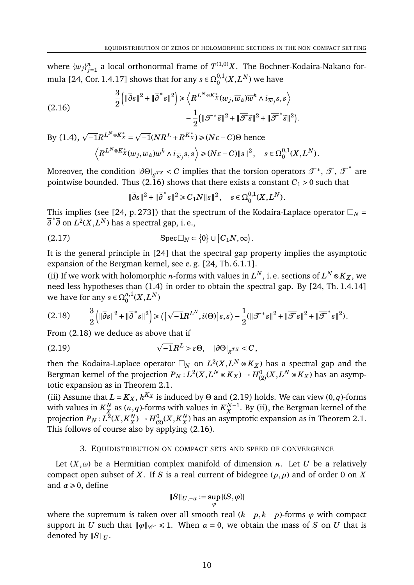where  $\{w_j\}_{j=1}^n$  a local orthonormal frame of  $T^{(1,0)}X$ . The Bochner-Kodaira-Nakano formula [24, Cor. 1.4.17] shows that for any  $s \in \Omega_0^{0,1}$  $^{0,1}_0(X,L^N)$  we have

(2.16) 
$$
\frac{3}{2} \left( \|\overline{\partial}s\|^2 + \|\overline{\partial}^*s\|^2 \right) \ge \left\langle R^{L^N \otimes K_X^*}(w_j, \overline{w}_k) \overline{w}^k \wedge i_{\overline{w}_j} s, s \right\rangle - \frac{1}{2} \left( \|\mathcal{F}^*\tilde{s}\|^2 + \|\overline{\mathcal{F}}\tilde{s}\|^2 + \|\overline{\mathcal{F}}^*\tilde{s}\|^2 \right).
$$

 $\text{By (1.4)}, \sqrt{-1}R^{L^N \otimes K_X^*} =$  $\overline{-1}(NR^L + R^{K_X^*}) \ge (N\epsilon - C)\Theta$  hence  $\left\langle R^{L^N \otimes K_X^*}(w_j, \overline{w}_k) \overline{w}^k \wedge i_{\overline{w}_j} s, s \right\rangle \geqslant (N \varepsilon - C) \|s\|^2, \quad s \in \Omega^{0,1}_0$  $^{0,1}_{0}(X,L^{N}).$ 

Moreover, the condition  $|\partial\Theta|_{g^{TX}} < C$  implies that the torsion operators  $\mathscr{T}^*, \overline{\mathscr{T}}, \overline{\mathscr{T}}^*$  are pointwise bounded. Thus (2.16) shows that there exists a constant  $C_1 > 0$  such that

$$
\|\overline{\partial}s\|^2 + \|\overline{\partial}^*s\|^2 \ge C_1 N \|s\|^2, \quad s \in \Omega_0^{0,1}(X, L^N).
$$

This implies (see [24, p. 273]) that the spectrum of the Kodaira-Laplace operator  $\Box_N$  =  $\overline{\partial}^* \overline{\partial}$  on  $L^2(X, L^N)$  has a spectral gap, i. e.,

$$
(2.17) \t\text{Spec } \Box_N \subset \{0\} \cup [C_1N, \infty).
$$

It is the general principle in [24] that the spectral gap property implies the asymptotic expansion of the Bergman kernel, see e. g. [24, Th. 6.1.1].

(ii) If we work with holomorphic *n*-forms with values in  $L^N$ , i. e. sections of  $L^N \otimes K_X$ , we need less hypotheses than (1.4) in order to obtain the spectral gap. By [24, Th. 1.4.14] we have for any  $s \in \Omega_0^{n,1}$  $\binom{n,1}{0}(X,L^N)$ 

$$
(2.18) \qquad \frac{3}{2} \left( \|\overline{\partial}s\|^2 + \|\overline{\partial}^*s\|^2 \right) \ge \left\langle \left[ \sqrt{-1}R^{L^N}, i(\Theta) \right]s, s \right\rangle - \frac{1}{2} (\|\mathcal{F}^*s\|^2 + \|\overline{\mathcal{F}}s\|^2 + \|\overline{\mathcal{F}}^*s\|^2).
$$

From (2.18) we deduce as above that if

(2.19) 
$$
\sqrt{-1}R^{L} > \varepsilon \Theta, \quad |\partial \Theta|_{g^{TX}} < C,
$$

then the Kodaira-Laplace operator  $\Box_N$  on  $L^2(X, L^N \otimes K_X)$  has a spectral gap and the Bergman kernel of the projection  $P_N$  :  $L^2(X, L^N\otimes K_X)\to H^0_{(2)}(X, L^N\otimes K_X)$  has an asymptotic expansion as in Theorem 2.1.

(iii) Assume that  $L = K_X$ ,  $h^{K_X}$  is induced by  $\Theta$  and (2.19) holds. We can view (0, *q*)-forms with values in  $K_{\rm x}^N$  $\frac{N}{X}$  as  $(n, q)$ -forms with values in  $K_X^{N-1}$  $_X^{N-1}$ . By (ii), the Bergman kernel of the projection  $P_N$  :  $L^2(X, K_X^N)$  $X^N$ )  $\to H^0_{(2)}(X,K_X^N)$  $_X^N$ ) has an asymptotic expansion as in Theorem 2.1. This follows of course also by applying (2.16).

### 3. EQUIDISTRIBUTION ON COMPACT SETS AND SPEED OF CONVERGENCE

Let  $(X, \omega)$  be a Hermitian complex manifold of dimension *n*. Let *U* be a relatively compact open subset of *X*. If *S* is a real current of bidegree (*p*, *p*) and of order 0 on *X* and  $\alpha \geq 0$ , define

$$
||S||_{U, -\alpha} := \sup_{\varphi} |(S, \varphi)|
$$

where the supremum is taken over all smooth real  $(k - p, k - p)$ -forms  $\varphi$  with compact support in *U* such that  $\|\varphi\|_{\mathscr{C}^{\alpha}} \leq 1$ . When  $\alpha = 0$ , we obtain the mass of *S* on *U* that is denoted by  $||S||_U$ .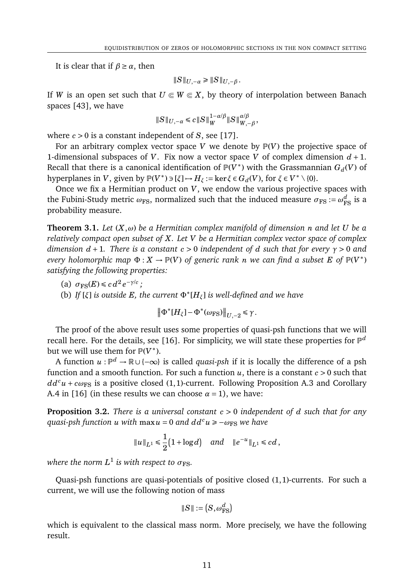It is clear that if  $\beta \geq \alpha$ , then

$$
||S||_{U, -\alpha} \ge ||S||_{U, -\beta}.
$$

If *W* is an open set such that  $U \in W \subseteq X$ , by theory of interpolation between Banach spaces [43], we have

$$
\|S\|_{U,-\alpha}\leq c\|S\|_W^{1-\alpha/\beta}\|S\|_{W,-\beta}^{\alpha/\beta},
$$

where  $c > 0$  is a constant independent of *S*, see [17].

For an arbitrary complex vector space  $V$  we denote by  $P(V)$  the projective space of 1-dimensional subspaces of *V*. Fix now a vector space *V* of complex dimension  $d + 1$ . Recall that there is a canonical identification of  $\mathbb{P}(V^*)$  with the Grassmannian  $G_d(V)$  of hyperplanes in *V*, given by  $\mathbb{P}(V^*) \ni [\xi] \mapsto H_{\xi} := \ker \xi \in G_d(V)$ , for  $\xi \in V^* \setminus \{0\}$ .

Once we fix a Hermitian product on *V*, we endow the various projective spaces with the Fubini-Study metric  $\omega_{\text{FS}},$  normalized such that the induced measure  $\sigma_{\text{FS}}:=\omega_{\text{FS}}^d$  is a probability measure.

**Theorem 3.1.** *Let* (*X*,*ω*) *be a Hermitian complex manifold of dimension n and let U be a relatively compact open subset of X. Let V be a Hermitian complex vector space of complex dimension d* + 1*. There is a constant c* > 0 *independent of d such that for every γ* > 0 *and every holomorphic map*  $\Phi: X \to \mathbb{P}(V)$  *of generic rank n we can find a subset*  $E$  *of*  $\mathbb{P}(V^*)$ *satisfying the following properties:*

- (a)  $\sigma_{\text{FS}}(E) \le c d^2 e^{-\gamma/c}$ ;
- (b) If  $[\xi]$  *is outside E*, the current  $\Phi^*$  [ $H_{\xi}$ ] *is well-defined and we have*

 $\left\| \Phi^* [H_\xi] - \Phi^* (\omega_{\rm FS}) \right\|_{U, -2} \le \gamma$ .

The proof of the above result uses some properties of quasi-psh functions that we will recall here. For the details, see [16]. For simplicity, we will state these properties for  $\mathbb{P}^d$ but we will use them for  $\mathbb{P}(V^*)$ .

A function *u* : P *<sup>d</sup>* → R ∪ {−∞} is called *quasi-psh* if it is locally the difference of a psh function and a smooth function. For such a function  $u$ , there is a constant  $c > 0$  such that  $dd^c u + c\omega_{FS}$  is a positive closed (1,1)-current. Following Proposition A.3 and Corollary A.4 in [16] (in these results we can choose  $\alpha = 1$ ), we have:

**Proposition 3.2.** *There is a universal constant c* > 0 *independent of d such that for any quasi-psh function u with* max  $u = 0$  *and*  $dd^c u \ge -\omega_{FS}$  *we have* 

$$
||u||_{L^1} \le \frac{1}{2}(1 + \log d)
$$
 and  $||e^{-u}||_{L^1} \le cd$ ,

where the norm  $L^1$  is with respect to  $\sigma_{\text{FS}}.$ 

Quasi-psh functions are quasi-potentials of positive closed (1,1)-currents. For such a current, we will use the following notion of mass

$$
\|S\|:=\left(S,\omega_{\text{FS}}^d\right)
$$

which is equivalent to the classical mass norm. More precisely, we have the following result.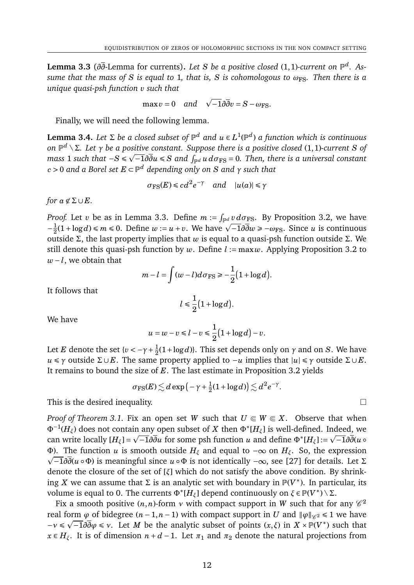**Lemma 3.3** (*∂∂*-Lemma for currents)**.** *Let S be a positive closed* (1,1)*-current on* P *d . Assume that the mass of S is equal to* 1*, that is, S is cohomologous to ω*FS*. Then there is a unique quasi-psh function v such that*

$$
\max v = 0 \quad and \quad \sqrt{-1}\partial \overline{\partial} v = S - \omega_{\text{FS}}.
$$

Finally, we will need the following lemma.

**Lemma 3.4.** Let  $\Sigma$  be a closed subset of  $\mathbb{P}^d$  and  $u \in L^1(\mathbb{P}^d)$  a function which is continuous *on* P *<sup>d</sup>* \Σ*. Let γ be a positive constant. Suppose there is a positive closed* (1,1)*-current S of* p *mass* 1 *such that*  $-S$  ≤  $\sqrt{-1}$ ∂ $\overline{\partial} u$  ≤  $S$  *and*  $\int_{\mathbb{P}^d} u\,d\sigma_{\rm FS}=0$ *. Then, there is a universal constant c* > 0 *and a Borel set E* ⊂ P *<sup>d</sup> depending only on S and γ such that*

$$
\sigma_{\text{FS}}(E) \leq c d^2 e^{-\gamma}
$$
 and  $|u(a)| \leq \gamma$ 

*for*  $a \notin \Sigma \cup E$ *.* 

*Proof.* Let *v* be as in Lemma 3.3. Define  $m := \int_{\mathbb{P}^d} v \, d\sigma_{\text{FS}}$ . By Proposition 3.2, we have  $-\frac{1}{2}$ *2 ool.* Let *v* be as in Lemma 3.3. Define  $m := \int_{\mathbb{P}^d} v \, d\sigma_{FS}$ . By Proposition 3.2, we have  $\frac{1}{2}(1 + \log d) \le m \le 0$ . Define  $w := u + v$ . We have  $\sqrt{-1} \partial \overline{\partial} w \ge -\omega_{FS}$ . Since *u* is continuous outside Σ, the last property implies that *w* is equal to a quasi-psh function outside Σ. We still denote this quasi-psh function by *w*. Define *l* := max*w*. Applying Proposition 3.2 to *w*−*l*, we obtain that

$$
m-l=\int (w-l)d\sigma_{\rm FS}\geq -\frac{1}{2}\big(1+\log d\big).
$$

It follows that

$$
l \leq \frac{1}{2} \big( 1 + \log d \big).
$$

We have

$$
u = w - v \leq l - v \leq \frac{1}{2} \left( 1 + \log d \right) - v.
$$

Let *E* denote the set { $v < -\gamma + \frac{1}{2}$  $\frac{1}{2}(1 + \log d)$ }. This set depends only on  $\gamma$  and on *S*. We have *u* ≤ *γ* outside Σ∪ *E*. The same property applied to −*u* implies that  $|u| \le \gamma$  outside Σ∪ *E*. It remains to bound the size of *E*. The last estimate in Proposition 3.2 yields

$$
\sigma_{\text{FS}}(E) \lesssim d \exp \big(-\gamma + \tfrac{1}{2} (1 + \log d) \big) \lesssim d^{\, 2} e^{-\gamma}.
$$

This is the desired inequality.

*Proof of Theorem 3.1.* Fix an open set *W* such that  $U \subseteq W \subseteq X$ . Observe that when Φ−<sup>1</sup> (*Hξ*) does not contain any open subset of *<sup>X</sup>* then <sup>Φ</sup><sup>∗</sup> [*Hξ*] is well-defined. Indeed, we p p can write locally  $[H_{\xi}] = \sqrt{-1} \partial \overline{\partial} u$  for some psh function *u* and define  $\Phi^* [H_{\xi}] := \sqrt{-1} \partial \overline{\partial} (u \circ \overline{\partial} u)$ Φ). The function *u* is smooth outside *H<sup>ξ</sup>* and equal to −∞ on *Hξ*. So, the expression p −1*∂∂*(*u* ◦Φ) is meaningful since *u* ◦Φ is not identically −∞, see [27] for details. Let Σ denote the closure of the set of [*ξ*] which do not satisfy the above condition. By shrinking *X* we can assume that  $\Sigma$  is an analytic set with boundary in  $\mathbb{P}(V^*)$ . In particular, its volume is equal to 0. The currents  $\Phi^*[H_\xi]$  depend continuously on  $\xi \in \mathbb{P}(V^*) \setminus \Sigma$ .

Fix a smooth positive (*n*,*n*)-form  $\nu$  with compact support in W such that for any  $\mathscr{C}^2$ real form  $\varphi$  of bidegree  $(n-1,n-1)$  with compact support in *U* and  $\|\varphi\|_{\mathscr{C}^2} \le 1$  we have  $-\nu \leq \sqrt{-1} \partial \overline{\partial} \varphi \leq \nu$ . Let *M* be the analytic subset of points  $(x, \xi)$  in  $X \times \mathbb{P}(V^*)$  such that *x* ∈ *H*<sub> $ξ$ . It is of dimension *n* + *d* − 1. Let *π*<sub>1</sub> and *π*<sub>2</sub> denote the natural projections from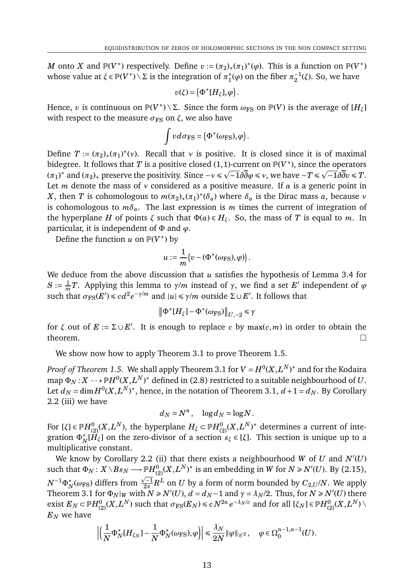*M* onto *X* and  $\mathbb{P}(V^*)$  respectively. Define  $v := (\pi_2)_*(\pi_1)^*(\varphi)$ . This is a function on  $\mathbb{P}(V^*)$ whose value at  $\xi \in \mathbb{P}(V^*) \setminus \Sigma$  is the integration of  $\pi_1^*$  $i_1^*(\varphi)$  on the fiber  $\pi_2^{-1}$  $_2^{-1}$ (*ξ*). So, we have

$$
v(\xi) = \big(\Phi^*[H_{\xi}], \varphi\big).
$$

Hence, *v* is continuous on  $\mathbb{P}(V^*) \setminus \Sigma$ . Since the form  $\omega_{\text{FS}}$  on  $\mathbb{P}(V)$  is the average of  $[H_\xi]$ with respect to the measure  $\sigma_{FS}$  on  $\xi$ , we also have

$$
\int v d\sigma_{\rm FS} = (\Phi^*(\omega_{\rm FS}), \varphi).
$$

Define  $T := (\pi_2)_*(\pi_1)^*(v)$ . Recall that *v* is positive. It is closed since it is of maximal bidegree. It follows that *T* is a positive closed (1, 1)-current on  $\mathbb{P}(V^*)$ , since the operators  $(\pi_1)^*$  and  $(\pi_2)_*$  preserve the positivity. Since  $-\nu \le \sqrt{-1} \partial \overline{\partial} \varphi \le \nu$ , we have  $-T \le \sqrt{-1} \partial \overline{\partial} v \le T$ . Let *m* denote the mass of *ν* considered as a positive measure. If *a* is a generic point in *X*, then *T* is cohomologous to  $m(\pi_2)_*(\pi_1)^*(\delta_a)$  where  $\delta_a$  is the Dirac mass *a*, because *ν* is cohomologous to  $m\delta_a$ . The last expression is *m* times the current of integration of the hyperplane *H* of points  $\xi$  such that  $\Phi(a) \in H_{\xi}$ . So, the mass of *T* is equal to *m*. In particular, it is independent of Φ and *ϕ*.

Define the function *u* on  $\mathbb{P}(V^*)$  by

$$
u:=\frac{1}{m}\big(v-(\Phi^*(\omega_{\text{FS}}),\varphi)\big).
$$

We deduce from the above discussion that *u* satisfies the hypothesis of Lemma 3.4 for  $S := \frac{1}{n}$  $\frac{1}{m}$  *T*. Applying this lemma to *γ*/*m* instead of *γ*, we find a set *E'* independent of *φ* such that  $σ_{FS}(E') ≤ cd^2e^{-γ/m}$  and  $|u| ≤ γ/m$  outside Σ∪E'. It follows that

$$
\left\|\Phi^*[H_\xi] - \Phi^*(\omega_{\rm FS})\right\|_{U,-2} \le \gamma
$$

for  $\xi$  out of  $E := \Sigma \cup E'$ . It is enough to replace *c* by max(*c*,*m*) in order to obtain the theorem.  $\Box$ 

We show now how to apply Theorem 3.1 to prove Theorem 1.5.

*Proof of Theorem 1.5.* We shall apply Theorem 3.1 for  $V = H^0(X, L^N)^*$  and for the Kodaira map  $\Phi_N$  :  $X$  --+  $\mathbb P H^0(X,L^N)^*$  defined in (2.8) restricted to a suitable neighbourhood of  $U.$ Let  $d_N$  =  $\dim H^0(X,L^N)^*$ , hence, in the notation of Theorem 3.1,  $d+1 = d_N$ . By Corollary 2.2 (iii) we have

$$
d_N \simeq N^n, \quad \log d_N \simeq \log N.
$$

For [*ξ*]  $\in$   $\mathbb{P}H_{(2)}^{0}(X,L^{N}),$  the hyperplane  $H_{\zeta}$   $\subset$   $\mathbb{P}H_{(2)}^{0}(X,L^{N})^{\ast}$  determines a current of integration  $\Phi_N^*$  $(H_\xi]$  on the zero-divisor of a section  $s_\xi \in [\xi]$ . This section is unique up to a multiplicative constant.

We know by Corollary 2.2 (ii) that there exists a neighbourhood *W* of *U* and  $N'(U)$ such that  $\Phi_N: X \setminus Bs_N \longrightarrow \mathbb{P}^1\!\!H^0_{(2)}(X,L^N)^*$  is an embedding in W for  $N \ge N'(U)$ . By (2.15),  $N^{-1}\Phi_N^*(\omega_{\text{FS}})$  differs from  $\frac{\sqrt{-1}}{2\pi}$  $\frac{Z-1}{2\pi}R^L$  on  $U$  by a form of norm bounded by  $C_{2,U}/N.$  We apply Theorem 3.1 for  $\Phi_N|_W$  with  $N \ge N'(U)$ ,  $d = d_N - 1$  and  $\gamma = \lambda_N/2$ . Thus, for  $N \ge N'(U)$  there exist  $E_N$   $\subset$   $\mathbb{P}H_{(2)}^{0}(X,L^N)$  such that  $\sigma_{\mathbb{F}S}(E_N)$   $\leq$   $c$   $N^{2n}$   $e^{-\lambda_N/c}$  and for all  $[\xi_N]$   $\in$   $\mathbb{P}H_{(2)}^{0}(X,L^N)\setminus$ *E<sup>N</sup>* we have

$$
\left|\left(\frac{1}{N}\Phi_N^* [H_{\xi_N}] - \frac{1}{N}\Phi_N^*(\omega_{\text{FS}}),\varphi\right)\right| \leq \frac{\lambda_N}{2N} \|\varphi\|_{\mathscr{C}^2}, \quad \varphi \in \Omega_0^{n-1,n-1}(U).
$$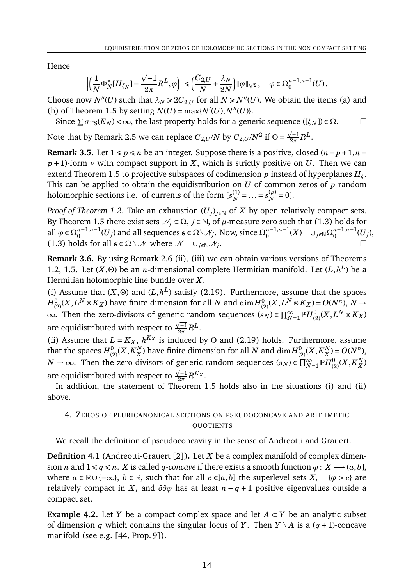Hence

$$
\left|\left(\frac{1}{N}\Phi_N^*[H_{\xi_N}]-\frac{\sqrt{-1}}{2\pi}R^L,\varphi\right)\right|\leq \left(\frac{C_{2,U}}{N}+\frac{\lambda_N}{2N}\right)\|\varphi\|_{\mathscr{C}^2},\quad \varphi\in\Omega^{n-1,n-1}_0(U).
$$

Choose now  $N''(U)$  such that  $\lambda_N \ge 2C_{2,U}$  for all  $N \ge N''(U)$ . We obtain the items (a) and (b) of Theorem 1.5 by setting  $N(U) = \max\{N'(U), N''(U)\}.$ 

Since  $\sum \sigma_{FS}(E_N) < \infty$ , the last property holds for a generic sequence ([ $\xi_N$ ])  $\in \Omega$ .

Note that by Remark 2.5 we can replace  $C_{2,U} / N$  by  $C_{2,U} / N^2$  if  $\Theta =$  $\sqrt{-1}$  $\frac{1}{2\pi}R^L.$ 

**Remark 3.5.** Let  $1 \leq p \leq n$  be an integer. Suppose there is a positive, closed  $(n-p+1, n-1)$  $p+1$ -form *v* with compact support in *X*, which is strictly positive on  $\overline{U}$ . Then we can extend Theorem 1.5 to projective subspaces of codimension *p* instead of hyperplanes *Hξ*. This can be applied to obtain the equidistribution on *U* of common zeros of *p* random holomorphic sections i.e. of currents of the form  $[s_N^{(1)}]$  $S_N^{(1)} = \ldots = S_N^{(p)}$  $N^{(p)} = 0$ ].

*Proof of Theorem 1.2.* Take an exhaustion  $(U_j)_{j \in \mathbb{N}}$  of *X* by open relatively compact sets. By Theorem 1.5 there exist sets  $\mathcal{N}_j \subset \Omega$ ,  $j \in \mathbb{N}$ , of  $\mu$ -measure zero such that (1.3) holds for all  $\varphi \in \Omega_0^{n-1,n-1}$  $\sum_{0}^{n-1,n-1} (U_j)$  and all sequences  $\mathbf{s} \in \Omega \setminus \mathcal{N}_j$ . Now, since  $\Omega_0^{n-1,n-1}$  $_{0}^{n-1,n-1}(X)$  = ∪  $_{j\in\mathbb{N}}$  Ω $_{0}^{n-1,n-1}$  $\int_0^{n-1,n-1} (U_j),$ (1.3) holds for all  $\mathbf{s} \in \Omega \setminus \mathcal{N}$  where  $\mathcal{N} = \bigcup_{i \in \mathbb{N}} \mathcal{N}_i$ . .

**Remark 3.6.** By using Remark 2.6 (ii), (iii) we can obtain various versions of Theorems 1.2, 1.5. Let  $(X, \Theta)$  be an *n*-dimensional complete Hermitian manifold. Let  $(L, h^L)$  be a Hermitian holomorphic line bundle over *X*.

(i) Assume that  $(X, \Theta)$  and  $(L, h^L)$  satisfy (2.19). Furthermore, assume that the spaces  $H^0_{(2)}(X,L^N\otimes K_X)$  have finite dimension for all  $N$  and  $\dim H^0_{(2)}(X,L^N\otimes K_X)=O(N^n),$   $N\to N$ ∞. Then the zero-divisors of generic random sequences  $(s_N) \in \prod_{N=1}^{\infty} \mathbb{P}H^0_{(2)}(X,L^N \otimes K_X)$ are equidistributed with respect to  $\frac{\sqrt{-1}}{2\pi}$  $\frac{1}{2\pi}R^L.$ 

(ii) Assume that  $L = K_X$ ,  $h^{K_X}$  is induced by  $\Theta$  and (2.19) holds. Furthermore, assume that the spaces  $H^0_{(2)}(X,K_X^N)$  $_N^N$ ) have finite dimension for all  $N$  and  $\dim\!^0_{(2)}(X,K_X^N)$  $X^N$ <sub> $X$ </sub> $) = O(N^n)$ , *N* → ∞. Then the zero-divisors of generic random sequences  $(s_N) \in \prod_{N=1}^{\infty} \mathbb{P}H_{(2)}^0(X,K_X^N)$ generic random sequences  $(s_N) \in \prod_{N=1}^{\infty} \mathbb{P}H_{(2)}^{0}(X, K_X^N)$ are equidistributed with respect to  $\frac{\sqrt{-1}}{2\pi}$  $\frac{\sqrt{-1}}{2\pi}R^{K_X}.$ 

In addition, the statement of Theorem 1.5 holds also in the situations (i) and (ii) above.

# 4. ZEROS OF PLURICANONICAL SECTIONS ON PSEUDOCONCAVE AND ARITHMETIC **QUOTIENTS**

We recall the definition of pseudoconcavity in the sense of Andreotti and Grauert.

**Definition 4.1** (Andreotti-Grauert [2])**.** Let *X* be a complex manifold of complex dimension *n* and  $1 \le q \le n$ . *X* is called *q-concave* if there exists a smooth function  $\varphi : X \longrightarrow (a, b]$ , where  $a \in \mathbb{R} \cup \{-\infty\}$ ,  $b \in \mathbb{R}$ , such that for all  $c \in ]a,b]$  the superlevel sets  $X_c = \{\varphi > c\}$  are relatively compact in *X*, and  $\partial \overline{\partial} \varphi$  has at least  $n - q + 1$  positive eigenvalues outside a compact set.

**Example 4.2.** Let *Y* be a compact complex space and let  $A \subset Y$  be an analytic subset of dimension *q* which contains the singular locus of *Y*. Then  $Y \setminus A$  is a (*q* + 1)-concave manifold (see e.g. [44, Prop. 9]).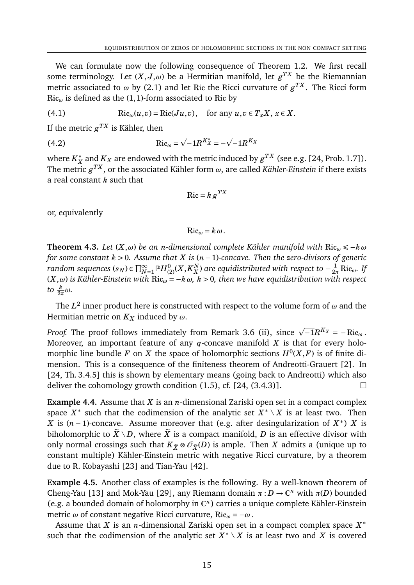We can formulate now the following consequence of Theorem 1.2. We first recall some terminology. Let  $(X,J,\omega)$  be a Hermitian manifold, let  $g^{TX}$  be the Riemannian metric associated to  $\omega$  by (2.1) and let Ric the Ricci curvature of  $g^{TX}.$  The Ricci form Ric*<sup>ω</sup>* is defined as the (1,1)-form associated to Ric by

(4.1) 
$$
\text{Ric}_{\omega}(u,v) = \text{Ric}(Ju,v), \text{ for any } u,v \in T_xX, x \in X.
$$

If the metric  $g^{TX}$  is Kähler, then

(4.2) 
$$
\text{Ric}_{\omega} = \sqrt{-1}R^{K_{X}^{*}} = -\sqrt{-1}R^{K_{X}}
$$

where  $K_X^*$  $\frac{1}{X}$  and  $K_X$  are endowed with the metric induced by  $g^{TX}$  (see e.g. [24, Prob. 1.7]). The metric  $g^{TX},$  or the associated Kähler form  $\omega,$  are called *Kähler-Einstein* if there exists a real constant *k* such that

$$
\mathrm{Ric} = k \, g^{TX}
$$

or, equivalently

$$
\operatorname{Ric}_{\omega}=k\,\omega.
$$

**Theorem 4.3.** *Let*  $(X, \omega)$  *be an n*-dimensional complete Kähler manifold with Ric<sub>ω</sub>  $\leq -k\omega$ *for some constant k* > 0*. Assume that X is* (*n* −1)*-concave. Then the zero-divisors of generic* random sequences  $(s_N)$   $\in \prod_{N=1}^\infty \mathbb{P} H_{(2)}^{0}(X, K_X^N)$  $_{X}^{N}$ ) are equidistributed with respect to  $-\frac{1}{2n}$  $\frac{1}{2\pi}$  Ric<sub>ω</sub>. If (*X*,*ω*) *is Kähler-Einstein with* Ric*<sup>ω</sup>* = −*kω, k* > 0*, then we have equidistribution with respect to*  $\frac{k}{2\pi}$ ω.

The  $L^2$  inner product here is constructed with respect to the volume form of  $\omega$  and the Hermitian metric on  $K_X$  induced by  $\omega$ .

*Proof.* The proof follows immediately from Remark 3.6 (ii), since  $\sqrt{-1}R^{K_X} = -Ric_{\omega}$ . Moreover, an important feature of any  $q$ -concave manifold  $X$  is that for every holomorphic line bundle *F* on *X* the space of holomorphic sections  $H^0(X, F)$  is of finite dimension. This is a consequence of the finiteness theorem of Andreotti-Grauert [2]. In [24, Th. 3.4.5] this is shown by elementary means (going back to Andreotti) which also deliver the cohomology growth condition  $(1.5)$ , cf.  $[24, (3.4.3)]$ .

**Example 4.4.** Assume that *X* is an *n*-dimensional Zariski open set in a compact complex space  $X^*$  such that the codimension of the analytic set  $X^* \setminus X$  is at least two. Then *X* is  $(n-1)$ -concave. Assume moreover that (e.g. after desingularization of  $X^*$ ) *X* is biholomorphic to  $\widetilde{X} \setminus D$ , where  $\widetilde{X}$  is a compact manifold, *D* is an effective divisor with only normal crossings such that  $K_{\tilde{X}} \otimes \mathcal{O}_{\tilde{X}}(D)$  is ample. Then *X* admits a (unique up to constant multiple) Kähler-Einstein metric with negative Ricci curvature, by a theorem due to R. Kobayashi [23] and Tian-Yau [42].

**Example 4.5.** Another class of examples is the following. By a well-known theorem of Cheng-Yau [13] and Mok-Yau [29], any Riemann domain  $\pi : D \to \mathbb{C}^n$  with  $\pi(D)$  bounded (e.g. a bounded domain of holomorphy in C *n* ) carries a unique complete Kähler-Einstein metric *ω* of constant negative Ricci curvature, Ric*<sup>ω</sup>* = −*ω* .

Assume that *X* is an *n*-dimensional Zariski open set in a compact complex space *X* ∗ such that the codimension of the analytic set  $X^* \setminus X$  is at least two and  $X$  is covered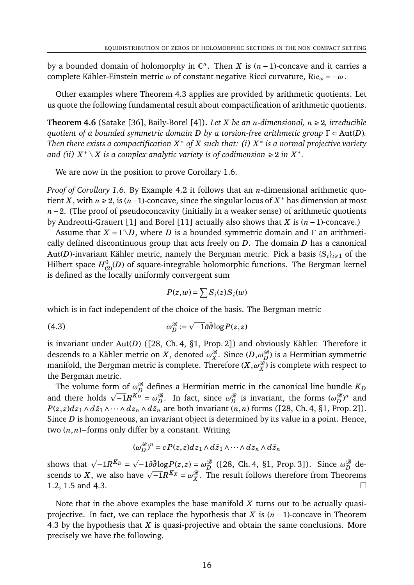by a bounded domain of holomorphy in  $\mathbb{C}^n$ . Then *X* is  $(n-1)$ -concave and it carries a complete Kähler-Einstein metric *ω* of constant negative Ricci curvature, Ric*<sup>ω</sup>* = −*ω* .

Other examples where Theorem 4.3 applies are provided by arithmetic quotients. Let us quote the following fundamental result about compactification of arithmetic quotients.

**Theorem 4.6** (Satake [36], Baily-Borel [4]). Let *X* be an *n*-dimensional,  $n \ge 2$ , irreducible *quotient of a bounded symmetric domain D by a torsion-free arithmetic group* Γ ⊂ Aut(*D*)*. Then there exists a compactification X* <sup>∗</sup> *of X such that: (i) X* ∗ *is a normal projective variety and (ii)*  $X^* \setminus X$  *is a complex analytic variety is of codimension*  $\geq 2$  *in*  $X^*$ *.* 

We are now in the position to prove Corollary 1.6.

*Proof of Corollary 1.6.* By Example 4.2 it follows that an *n*-dimensional arithmetic quotient *X*, with  $n \ge 2$ , is ( $n-1$ )-concave, since the singular locus of  $X^*$  has dimension at most *n*−2. (The proof of pseudoconcavity (initially in a weaker sense) of arithmetic quotients by Andreotti-Grauert [1] and Borel [11] actually also shows that *X* is (*n*−1)-concave.)

Assume that  $X = \Gamma \backslash D$ , where *D* is a bounded symmetric domain and  $\Gamma$  an arithmetically defined discontinuous group that acts freely on *D*. The domain *D* has a canonical Aut(*D*)-invariant Kähler metric, namely the Bergman metric. Pick a basis  ${S_i}_{i\geq 1}$  of the Hilbert space  $H^0_{(2)}(D)$  of square-integrable holomorphic functions. The Bergman kernel is defined as the locally uniformly convergent sum

$$
P(z, w) = \sum S_i(z) \overline{S}_i(w)
$$

which is in fact independent of the choice of the basis. The Bergman metric

(4.3) 
$$
\omega_D^{\mathscr{B}} := \sqrt{-1} \partial \bar{\partial} \log P(z, z)
$$

is invariant under Aut(*D*) ([28, Ch. 4, §1, Prop. 2]) and obviously Kähler. Therefore it descends to a Kähler metric on  $X$ , denoted  $\omega_X^{\mathscr{B}}.$  Since  $(D,\omega_D^{\mathscr{B}})$  is a Hermitian symmetric manifold, the Bergman metric is complete. Therefore  $(X,\omega_X^{\mathscr{B}})$  is complete with respect to the Bergman metric.

The volume form of  $\omega_D^{\mathscr{B}}$  defines a Hermitian metric in the canonical line bundle  $K_D$ and there holds  $\sqrt{-1}R^{K_D} = \omega_D^{\mathcal{B}}$ . In fact, since  $\omega_D^{\mathcal{B}}$  is invariant, the forms  $(\omega_D^{\mathcal{B}})^n$  and there holds  $\sqrt{-1}R^{K_D} = \omega_D^{\mathcal{B}}$ .  $P(z, z) dz_1 \wedge d\bar{z}_1 \wedge \cdots \wedge dz_n \wedge d\bar{z}_n$  are both invariant  $(n, n)$  forms ([28, Ch. 4, §1, Prop. 2]). Since *D* is homogeneous, an invariant object is determined by its value in a point. Hence, two (*n*,*n*)−forms only differ by a constant. Writing

$$
(\omega_D^{\mathcal{B}})^n = c P(z, z) dz_1 \wedge d\bar{z}_1 \wedge \cdots \wedge dz_n \wedge d\bar{z}_n
$$

shows that  $\sqrt{-1}R^{K_D}$  =  $\overline{-1}\partial \overline{\partial} \log P(z, z) = \omega_D^{\mathcal{B}}$  ([28, Ch. 4, §1, Prop. 3]). Since  $\omega_D^{\mathcal{B}}$  deshows that  $\sqrt{-1}R^{T-2} = \sqrt{-1}\omega \log P(z, z) = \omega_D^2$  ([28, Cn. 4, 91, Prop. 3]). Since  $\omega_D^2$  descends to *X*, we also have  $\sqrt{-1}R^{K_X} = \omega_X^{\mathscr{B}}$ . The result follows therefore from Theorems 1.2, 1.5 and 4.3.

Note that in the above examples the base manifold *X* turns out to be actually quasiprojective. In fact, we can replace the hypothesis that *X* is (*n* − 1)-concave in Theorem 4.3 by the hypothesis that *X* is quasi-projective and obtain the same conclusions. More precisely we have the following.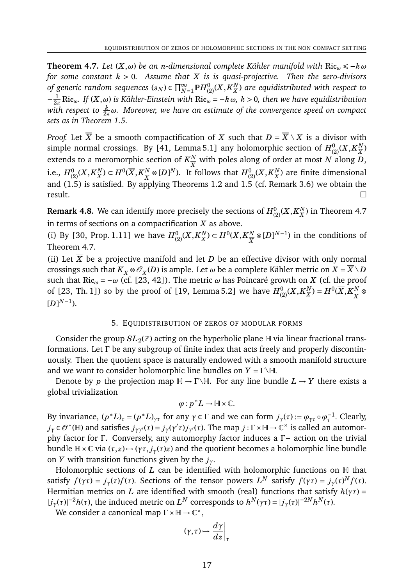**Theorem 4.7.** *Let*  $(X, ω)$  *be an n*-dimensional complete Kähler manifold with Ric<sub>ω</sub> ≤ −*k* ω *for some constant k* > 0*. Assume that X is is quasi-projective. Then the zero-divisors* of generic random sequences  $(s_N) \in \prod_{N=1}^\infty \mathbb{P} H_{(2)}^{0}(X,K_X^N)$ *X* ) *are equidistributed with respect to*  $-\frac{1}{2}$ 2*π* Ric*ω. If* (*X*,*ω*) *is Kähler-Einstein with* Ric*<sup>ω</sup>* = −*kω, k* > 0*, then we have equidistribution with respect to*  $\frac{k}{2\pi}\omega$ *. Moreover, we have an estimate of the convergence speed on compact sets as in Theorem 1.5.*

*Proof.* Let  $\overline{X}$  be a smooth compactification of *X* such that  $D = \overline{X} \setminus X$  is a divisor with simple normal crossings. By [41, Lemma 5.1] any holomorphic section of  $H_{(2)}^{0}(X,K_{X}^{N}% )$  $_{X}^{N})$ extends to a meromorphic section of  $K_{\overline{v}}^N$ *X* with poles along of order at most *N* along *D*, i.e.,  $H^0_{(2)}(X,K_X^N)$  $(X^N) \subset H^0(\overline X, K^N_{\overline X})$  $\frac{N}{X}$  ⊗ [*D*]<sup>*N*</sup>). It follows that  $H^0_{(2)}(X,K_X^N)$ *X* ) are finite dimensional and (1.5) is satisfied. By applying Theorems 1.2 and 1.5 (cf. Remark 3.6) we obtain the  $r$ esult.

**Remark 4.8.** We can identify more precisely the sections of  $H_{(2)}^{0}(X, K_X^N)$  $_X^N$ ) in Theorem 4.7 in terms of sections on a compactification  $\overline{X}$  as above.

(i) By [30, Prop. 1.11] we have  $H_{(2)}^{0}(X, K_X^N)$  $(X^N) \subset H^0(\overline X, K^N_{\overline X})$  $\frac{N}{X}$ ⊗[*D*]<sup>*N*−1</sup>) in the conditions of Theorem 4.7.

(ii) Let  $\overline{X}$  be a projective manifold and let *D* be an effective divisor with only normal crossings such that  $K_{\overline{X}}\otimes \mathscr{O}_{\overline{X}}(D)$  is ample. Let  $\omega$  be a complete Kähler metric on  $X=\overline{X}\setminus D$ such that Ric<sub>ω</sub> =  $-\omega$  (cf. [23, 42]). The metric  $\omega$  has Poincaré growth on *X* (cf. the proof of [23, Th. 1]) so by the proof of [19, Lemma 5.2] we have  $H^0_{(2)}(X,K_X^N)$  $X^N$ ) =  $H^0(\overline{X}, K^N_{\overline{X}})$ *X* ⊗  $[D]^{N-1}$ ).

## 5. EQUIDISTRIBUTION OF ZEROS OF MODULAR FORMS

Consider the group  $SL_2(\mathbb{Z})$  acting on the hyperbolic plane  $\mathbb H$  via linear fractional transformations. Let Γ be any subgroup of finite index that acts freely and properly discontinuously. Then the quotient space is naturally endowed with a smooth manifold structure and we want to consider holomorphic line bundles on  $Y = \Gamma \backslash \mathbb{H}$ .

Denote by *p* the projection map  $H \to \Gamma \backslash H$ . For any line bundle  $L \to Y$  there exists a global trivialization

$$
\varphi: p^*L \to \mathbb{H} \times \mathbb{C}.
$$

By invariance,  $(p^*L)_\tau = (p^*L)_{\gamma\tau}$  for any  $\gamma \in \Gamma$  and we can form  $j_\gamma(\tau) := \varphi_{\gamma\tau} \circ \varphi_\tau^{-1}$ . Clearly, *j*<sup>*γ*</sup> ∈  $\mathcal{O}^*(\mathbb{H})$  and satisfies *j*<sub>*γγ*</sub>(*τ*) = *j*<sub>*γ*</sub>(*γ'τ*)*j*<sub>*γ*'</sub>(*τ*). The map *j* : Γ ×  $\mathbb{H} \to \mathbb{C}^\times$  is called an automorphy factor for Γ. Conversely, any automorphy factor induces a Γ− action on the trivial bundle H × ℂ via  $(τ, z)$  →  $(γτ, j<sub>γ</sub>(τ)z)$  and the quotient becomes a holomorphic line bundle on *Y* with transition functions given by the *jγ*.

Holomorphic sections of  $L$  can be identified with holomorphic functions on  $H$  that satisfy  $f(\gamma \tau) = j_{\gamma}(\tau) f(\tau)$ . Sections of the tensor powers  $L^N$  satisfy  $f(\gamma \tau) = j_{\gamma}(\tau)^N f(\tau)$ . Hermitian metrics on *L* are identified with smooth (real) functions that satisfy  $h(\gamma \tau) =$  $|j_\gamma(\tau)|^{-2}h(\tau)$ , the induced metric on  $L^N$  corresponds to  $h^N(\gamma \tau) = |j_\gamma(\tau)|^{-2N}h^N(\tau)$ .

We consider a canonical map  $\Gamma \times \mathbb{H} \to \mathbb{C}^{\times}$ ,

$$
(\gamma, \tau) \mapsto \left. \frac{d\gamma}{dz} \right|_{\tau}
$$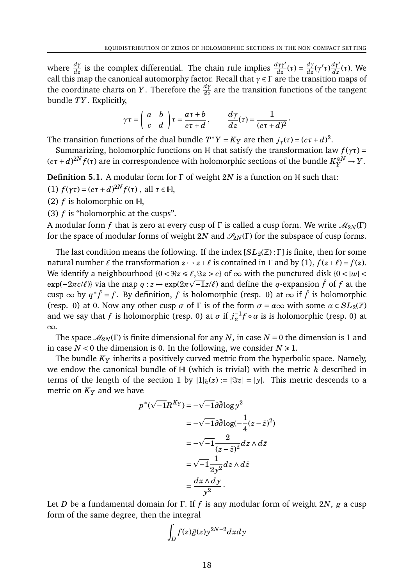·

where  $\frac{d\gamma}{dz}$  is the complex differential. The chain rule implies  $\frac{d\gamma\gamma'}{dz}(\tau) = \frac{d\gamma}{dz}(\gamma'\tau)\frac{d\gamma'}{dz}(\tau)$ . We call this map the canonical automorphy factor. Recall that *γ* ∈ Γ are the transition maps of the coordinate charts on *Y*. Therefore the  $\frac{d\gamma}{dz}$  are the transition functions of the tangent bundle *TY*. Explicitly,

$$
\gamma\tau = \left(\begin{array}{cc} a & b \\ c & d \end{array}\right)\tau = \frac{a\tau + b}{c\tau + d}, \qquad \frac{d\gamma}{dz}(\tau) = \frac{1}{(c\tau + d)^2}
$$

The transition functions of the dual bundle  $T^*Y = K_Y$  are then  $j_\gamma(\tau) = (c\tau + d)^2$ .

Summarizing, holomorphic functions on  $H$  that satisfy the transformation law  $f(\gamma \tau) =$  $(c\tau + d)^{2N} f(\tau)$  are in correspondence with holomorphic sections of the bundle  $K_Y^{\otimes N} \to Y$ .

**Definition 5.1.** A modular form for Γ of weight 2*N* is a function on H such that:

(1)  $f(\gamma \tau) = (c\tau + d)^{2N} f(\tau)$ , all  $\tau \in \mathbb{H}$ ,

(2)  $f$  is holomorphic on  $H$ ,

(3) *f* is "holomorphic at the cusps".

A modular form *f* that is zero at every cusp of  $\Gamma$  is called a cusp form. We write  $\mathcal{M}_{2N}(\Gamma)$ for the space of modular forms of weight 2*N* and  $\mathcal{S}_{2N}(\Gamma)$  for the subspace of cusp forms.

The last condition means the following. If the index  $[SL_2(\mathbb{Z}) : \Gamma]$  is finite, then for some natural number  $\ell$  the transformation  $z \mapsto z + \ell$  is contained in  $\Gamma$  and by (1),  $f(z+\ell) = f(z)$ . We identify a neighbourhood  $\{0 < \Re z \leq \ell, \Im z > c\}$  of  $\infty$  with the punctured disk  $\{0 < |w| < \ell, \Im z \leq \ell, \Im z > c\}$  $\exp(-2\pi c/\ell)$ } via the map *q* : *z* →  $\exp(2\pi\sqrt{-1}z/\ell)$  and define the *q*-expansion  $\hat{f}$  of *f* at the cusp  $\infty$  by  $q^*\hat{f} = f$ . By definition,  $f$  is holomorphic (resp. 0) at  $\infty$  if  $\hat{f}$  is holomorphic (resp. 0) at 0. Now any other cusp  $\sigma$  of  $\Gamma$  is of the form  $\sigma = \alpha \infty$  with some  $\alpha \in SL_2(\mathbb{Z})$ and we say that *f* is holomorphic (resp. 0) at  $\sigma$  if  $j_{\alpha}^{-1}f \circ \alpha$  is is holomorphic (resp. 0) at ∞.

The space  $\mathcal{M}_{2N}(\Gamma)$  is finite dimensional for any *N*, in case *N* = 0 the dimension is 1 and in case  $N < 0$  the dimension is 0. In the following, we consider  $N \ge 1$ .

The bundle *K<sup>Y</sup>* inherits a positively curved metric from the hyperbolic space. Namely, we endow the canonical bundle of H (which is trivial) with the metric *h* described in terms of the length of the section 1 by  $|1|_h(z) := |\Im z| = |y|$ . This metric descends to a metric on *K<sup>Y</sup>* and we have

$$
p^*(\sqrt{-1}R^{K_Y}) = -\sqrt{-1}\partial\bar{\partial}\log y^2
$$
  

$$
= -\sqrt{-1}\partial\bar{\partial}\log(-\frac{1}{4}(z-\bar{z})^2)
$$
  

$$
= -\sqrt{-1}\frac{2}{(z-\bar{z})^2}dz \wedge d\bar{z}
$$
  

$$
= \sqrt{-1}\frac{1}{2y^2}dz \wedge d\bar{z}
$$
  

$$
= \frac{dx \wedge dy}{y^2}.
$$

Let *D* be a fundamental domain for Γ. If *f* is any modular form of weight 2*N*, *g* a cusp form of the same degree, then the integral

$$
\int_D f(z)\bar{g}(z) y^{2N-2} dxdy
$$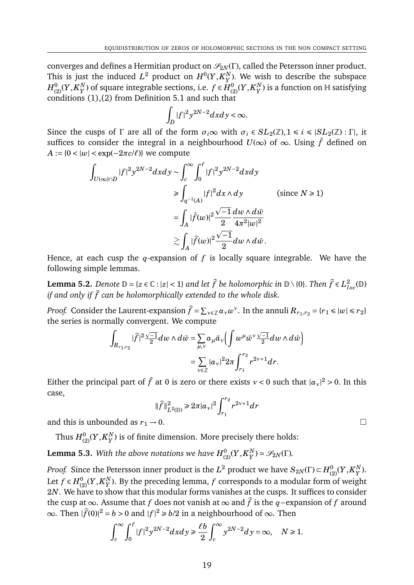converges and defines a Hermitian product on  $\mathcal{S}_{2N}(\Gamma)$ , called the Petersson inner product. This is just the induced  $L^2$  product on  $H^0(Y,K_{Y}^N)$  $Y^N$ ). We wish to describe the subspace  $H^0_{(2)}(Y,K^N_Y$  $Y^N_Y$ ) of square integrable sections, i.e.  $f \in H_{(2)}^0(Y, K_Y^N)$  $_Y^N$ ) is a function on  $\mathbb H$  satisfying conditions  $(1)$ , $(2)$  from Definition 5.1 and such that

$$
\int_D |f|^2 y^{2N-2} dx dy < \infty.
$$

Since the cusps of  $\Gamma$  are all of the form  $\sigma_i \in SL_2(\mathbb{Z}), 1 \le i \le |SL_2(\mathbb{Z}): \Gamma|$ , it suffices to consider the integral in a neighbourhood  $U(\infty)$  of  $\infty$ . Using  $\hat{f}$  defined on  $A := \{0 < |w| < \exp(-2\pi c/\ell)\}$  we compute

$$
\int_{U(\infty)\cap D} |f|^2 y^{2N-2} dxdy \sim \int_c^{\infty} \int_0^{\ell} |f|^2 y^{2N-2} dxdy
$$
\n
$$
\geq \int_{q^{-1}(A)} |f|^2 dx \wedge dy \qquad \text{(since } N \geq 1\text{)}
$$
\n
$$
= \int_A |\hat{f}(w)|^2 \frac{\sqrt{-1}}{2} \frac{dw \wedge d\bar{w}}{4\pi^2 |w|^2}
$$
\n
$$
\gtrsim \int_A |\hat{f}(w)|^2 \frac{\sqrt{-1}}{2} dw \wedge d\bar{w}.
$$

Hence, at each cusp the *q*-expansion of *f* is locally square integrable. We have the following simple lemmas.

**Lemma 5.2.** *Denote*  $\mathbb{D} = \{z \in \mathbb{C} : |z| < 1\}$  *and let*  $\widehat{f}$  *be holomorphic in*  $\mathbb{D} \setminus \{0\}$ *. Then*  $\widehat{f} \in L^2_{loc}(\mathbb{D})$ *if and only if*  $\hat{f}$  *can be holomorphically extended to the whole disk.* 

*Proof.* Consider the Laurent-expansion  $\widehat{f} = \sum_{v \in \mathbb{Z}} a_v w^v$ . In the annuli  $R_{r_1, r_2} = \{r_1 \le |w| \le r_2\}$ the series is normally convergent. We compute

$$
\int_{R_{r_1,r_2}} |\widehat{f}|^2 \frac{\sqrt{-1}}{2} dw \wedge d\bar{w} = \sum_{\mu,\nu} a_{\mu} \bar{a}_{\nu} \Big( \int w^{\mu} \bar{w}^{\nu} \frac{\sqrt{-1}}{2} dw \wedge d\bar{w} \Big)
$$

$$
= \sum_{\nu \in \mathbb{Z}} |a_{\nu}|^2 2\pi \int_{r_1}^{r_2} r^{2\nu+1} dr.
$$

Either the principal part of  $\hat{f}$  at 0 is zero or there exists  $v < 0$  such that  $|a_v|^2 > 0$ . In this case,

$$
\|\widehat{f}\|_{L^2(\mathbb{D})}^2 \ge 2\pi |a_v|^2 \int_{r_1}^{r_2} r^{2v+1} dr
$$

and this is unbounded as  $r_1 \rightarrow 0$ .

Thus  $H^0_{(2)}(Y,K^N_Y$  $\binom{N}{Y}$  is of finite dimension. More precisely there holds:

 $\bf L$ emma 5.3. With the above notations we have  $H^0_{(2)}(Y,K_Y^N)$  $\mathcal{S}_Y^N$ )  $\simeq \mathcal{S}_{2N}(\Gamma)$ .

*Proof.* Since the Petersson inner product is the  $L^2$  product we have  $S_{2N}(\Gamma)$  ⊂  $H^0_{(2)}(Y,K_Y^N)$ *Y* ). Let  $f \in H_{(2)}^0(Y, K_Y^N)$ *Y* ). By the preceding lemma, *f* corresponds to a modular form of weight 2*N*. We have to show that this modular forms vanishes at the cusps. It suffices to consider the cusp at ∞. Assume that *f* does not vanish at ∞ and  $\hat{f}$  is the *q*−expansion of *f* around  $\infty$ . Then  $|\hat{f}(0)|^2 = b > 0$  and  $|f|^2 \ge b/2$  in a neighbourhood of  $\infty$ . Then

$$
\int_c^{\infty} \int_0^{\ell} |f|^2 y^{2N-2} dx dy \ge \frac{\ell b}{2} \int_c^{\infty} y^{2N-2} dy = \infty, \quad N \ge 1.
$$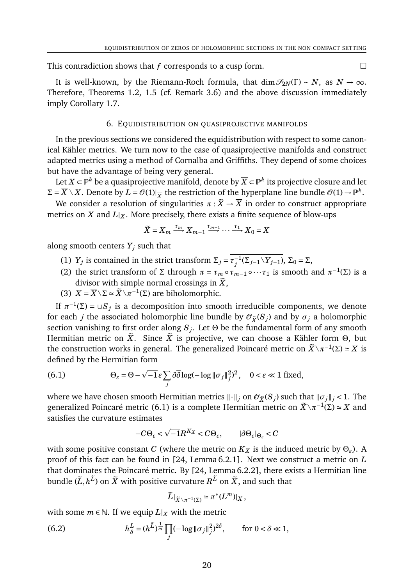This contradiction shows that *f* corresponds to a cusp form.

It is well-known, by the Riemann-Roch formula, that dim  $\mathscr{S}_{2N}(\Gamma) \sim N$ , as  $N \to \infty$ . Therefore, Theorems 1.2, 1.5 (cf. Remark 3.6) and the above discussion immediately imply Corollary 1.7.

### 6. EQUIDISTRIBUTION ON QUASIPROJECTIVE MANIFOLDS

In the previous sections we considered the equidistribution with respect to some canonical Kähler metrics. We turn now to the case of quasiprojective manifolds and construct adapted metrics using a method of Cornalba and Griffiths. They depend of some choices but have the advantage of being very general.

Let  $X$  ⊂  $\mathbb{P}^k$  be a quasiprojective manifold, denote by  $\overline{X}$  ⊂  $\mathbb{P}^k$  its projective closure and let  $\Sigma = \overline{X} \setminus X$ . Denote by  $L = \mathcal{O}(1)|_{\overline{X}}$  the restriction of the hyperplane line bundle  $\mathcal{O}(1) \to \mathbb{P}^k$ .

We consider a resolution of singularities  $\pi : \tilde{X} \to \overline{X}$  in order to construct appropriate metrics on *X* and  $L|_X$ . More precisely, there exists a finite sequence of blow-ups

$$
\widetilde{X} = X_m \xrightarrow{\tau_m} X_{m-1} \xrightarrow{\tau_{m-1}} \cdots \xrightarrow{\tau_1} X_0 = \overline{X}
$$

along smooth centers  $Y_j$  such that

- (1) *Y<sub>j</sub>* is contained in the strict transform  $\Sigma_j = \overline{\tau_j^{-1}}$ *j* (Σ*j*−1\*Yj*−1), Σ<sup>0</sup> = Σ,
- (2) the strict transform of  $\Sigma$  through  $\pi = \tau_m \circ \tau_{m-1} \circ \cdots \tau_1$  is smooth and  $\pi^{-1}(\Sigma)$  is a divisor with simple normal crossings in  $\tilde{X}$ ,
- (3)  $X = \overline{X} \setminus \Sigma \simeq \widetilde{X} \setminus \pi^{-1}(\Sigma)$  are biholomorphic.

If  $\pi^{-1}(\Sigma) = \cup S_j$  is a decomposition into smooth irreducible components, we denote for each *j* the associated holomorphic line bundle by  $\mathcal{O}_{\tilde{X}}(S_i)$  and by  $\sigma_i$  a holomorphic section vanishing to first order along *S<sup>j</sup>* . Let Θ be the fundamental form of any smooth Hermitian metric on  $\tilde{X}$ . Since  $\tilde{X}$  is projective, we can choose a Kähler form Θ, but the construction works in general. The generalized Poincaré metric on  $\widetilde{X} \setminus \pi^{-1}(\Sigma) \simeq X$  is defined by the Hermitian form

(6.1) 
$$
\Theta_{\varepsilon} = \Theta - \sqrt{-1} \varepsilon \sum_{j} \partial \overline{\partial} \log(-\log \| \sigma_{j} \|_{j}^{2})^{2}, \quad 0 < \varepsilon \ll 1 \text{ fixed},
$$

where we have chosen smooth Hermitian metrics  $\|\cdot\|_j$  on  $\mathcal{O}_{\tilde{X}}(S_j)$  such that  $\|\sigma_j\|_j < 1$ . The generalized Poincaré metric (6.1) is a complete Hermitian metric on  $\tilde{X} \setminus \pi^{-1}(\Sigma) \simeq X$  and satisfies the curvature estimates

$$
-C\Theta_{\varepsilon} < \sqrt{-1}R^{K_X} < C\Theta_{\varepsilon}, \qquad |\partial\Theta_{\varepsilon}|_{\Theta_{\varepsilon}} < C
$$

with some positive constant *C* (where the metric on  $K_X$  is the induced metric by  $\Theta_{\varepsilon}$ ). A proof of this fact can be found in [24, Lemma 6.2.1]. Next we construct a metric on *L* that dominates the Poincaré metric. By [24, Lemma 6.2.2], there exists a Hermitian line bundle  $(\widetilde{L}, h^L)$  on  $\widetilde{X}$  with positive curvature  $R^L$  on  $\widetilde{X}$ , and such that

$$
\widetilde{L}|_{\widetilde{X}\setminus \pi^{-1}(\Sigma)} \simeq \pi^*(L^m)|_X,
$$

with some  $m \in \mathbb{N}$ . If we equip  $L|_X$  with the metric

(6.2) 
$$
h_{\delta}^{L} = (h^{\widetilde{L}})^{\frac{1}{m}} \prod_{j} (-\log \|\sigma_j\|_{j}^{2})^{2\delta}, \quad \text{for } 0 < \delta \ll 1,
$$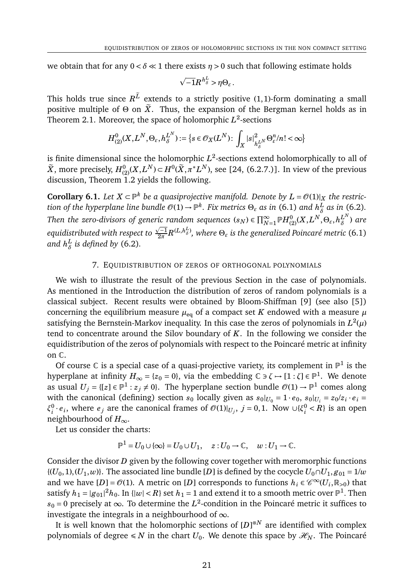we obtain that for any  $0 < \delta \ll 1$  there exists  $\eta > 0$  such that following estimate holds

$$
\sqrt{-1}R^{h_{\delta}^L} > \eta \Theta_{\varepsilon}.
$$

This holds true since  $R^L$  extends to a strictly positive (1,1)-form dominating a small positive multiple of  $\Theta$  on  $\tilde{X}$ . Thus, the expansion of the Bergman kernel holds as in Theorem 2.1. Moreover, the space of holomorphic  $L^2$ -sections

$$
H^0_{(2)}(X,L^N,\Theta_{\varepsilon},h^{L^N}_{\delta}):=\big\{s\in \mathcal{O}_X(L^N)\colon \int_X |s|^2_{h^{L^N}_{\delta}}\Theta_{\varepsilon}^n/n!<\infty\big\}
$$

is finite dimensional since the holomorphic  $L^2$ -sections extend holomorphically to all of  $\widetilde{X}$ , more precisely,  $H_{(2)}^{0}(X, L^{N}) \subset H^{0}(\widetilde{X}, \pi^{*}L^{N})$ , see [24, (6.2.7.)]. In view of the previous discussion, Theorem 1.2 yields the following.

**Corollary 6.1.** Let  $X \subset \mathbb{P}^k$  be a quasiprojective manifold. Denote by  $L = \mathcal{O}(1)|_X$  the restric $t$ ion of the hyperplane line bundle  $\mathscr{O}(1) \to \mathbb{P}^k.$  Fix metrics  $\Theta_\varepsilon$  as in (6.1) and  $h^L_\delta$ *δ as in* (6.2)*. Then the zero-divisors of generic random sequences (s<sub>N</sub>)*  $\in \prod_{N=1}^{\infty} \mathbb{P}H_{(2)}^{0}(X,L^{N},\Theta_{\varepsilon},h^{L^{N}}_{\delta})$ *ric random sequences*  $(s_N) \in \prod_{N=1}^{\infty} \mathbb{P}H_{(2)}^{0}(X, L^{N}, \Theta_{\varepsilon}, h_{\delta}^{L^{N}})$  are equidistributed with respect to  $\frac{\sqrt{-1}}{2\pi}$  $\frac{\sqrt{-1}}{2\pi}R^{(L,h_{\delta}^{L})},$  where  $\Theta_{\varepsilon}$  is the generalized Poincaré metric (6.1) and  $h^L_{\delta}$ *δ is defined by* (6.2)*.*

# 7. EQUIDISTRIBUTION OF ZEROS OF ORTHOGONAL POLYNOMIALS

We wish to illustrate the result of the previous Section in the case of polynomials. As mentioned in the Introduction the distribution of zeros of random polynomials is a classical subject. Recent results were obtained by Bloom-Shiffman [9] (see also [5]) concerning the equilibrium measure  $\mu_{eq}$  of a compact set *K* endowed with a measure  $\mu$ satisfying the Bernstein-Markov inequality. In this case the zeros of polynomials in  $L^2(\mu)$ tend to concentrate around the Silov boundary of *K*. In the following we consider the equidistribution of the zeros of polynomials with respect to the Poincaré metric at infinity on C.

Of course  $\mathbb C$  is a special case of a quasi-projective variety, its complement in  $\mathbb P^1$  is the hyperplane at infinity  $H_\infty$  = { $z_0$  = 0}, via the embedding C  $\ni \zeta \mapsto [1:\zeta]$   $\in$   $\mathbb{P}^1.$  We denote as usual  $U_j = \{ [z] \in \mathbb{P}^1 : z_j \neq 0 \}$ . The hyperplane section bundle  $\mathcal{O}(1) \to \mathbb{P}^1$  comes along with the canonical (defining) section  $s_0$  locally given as  $s_0|_{U_0} = 1 \cdot e_0$ ,  $s_0|_{U_i} = z_0/z_i \cdot e_i$ *ξ* 0  $\mathcal{C}_i \cdot e_i$ , where  $e_j$  are the canonical frames of  $\mathcal{O}(1)|_{U_j}$ ,  $j = 0, 1$ . Now ∪{ $\xi_i^0$  $i<sup>0</sup>$   $<$  *R*} is an open neighbourhood of *H*∞.

Let us consider the charts:

$$
\mathbb{P}^1 = U_0 \cup \{\infty\} = U_0 \cup U_1, \quad z: U_0 \to \mathbb{C}, \quad w: U_1 \to \mathbb{C}.
$$

Consider the divisor *D* given by the following cover together with meromorphic functions  ${(U_0, 1), (U_1, w)}$ . The associated line bundle [*D*] is defined by the cocycle  $U_0 \cap U_1$ ,  $g_{01} = 1/w$ and we have  $[D] = \mathcal{O}(1)$ . A metric on  $[D]$  corresponds to functions  $h_i \in \mathscr{C}^{\infty}(U_i, \mathbb{R}_{>0})$  that satisfy  $h_1 = |g_{01}|^2 h_0.$  In  $\{|w| < R\}$  set  $h_1 = 1$  and extend it to a smooth metric over  $\mathbb{P}^1.$  Then *s*<sup>0</sup> = 0 precisely at ∞. To determine the *L* 2 -condition in the Poincaré metric it suffices to investigate the integrals in a neighbourhood of  $\infty$ .

It is well known that the holomorphic sections of [*D*] <sup>⊗</sup>*<sup>N</sup>* are identified with complex polynomials of degree  $\leq N$  in the chart  $U_0$ . We denote this space by  $\mathcal{H}_N$ . The Poincaré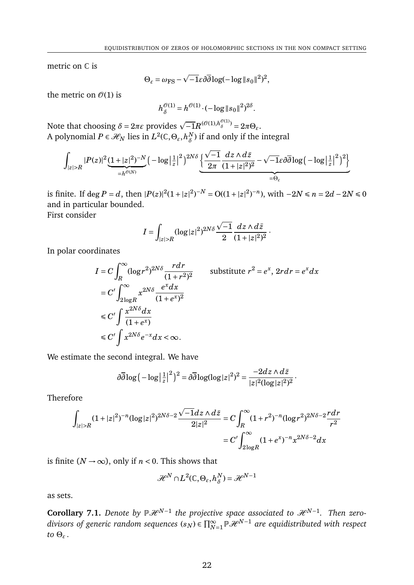metric on C is

$$
\Theta_{\varepsilon} = \omega_{\text{FS}} - \sqrt{-1} \varepsilon \partial \overline{\partial} \log(-\log \|s_0\|^2)^2,
$$

the metric on  $\mathcal{O}(1)$  is

$$
h^{\mathcal{O}(1)}_{\delta} = h^{\mathcal{O}(1)} \cdot (-\log \|s_0\|^2)^{2\delta}.
$$

Note that choosing  $δ = 2πε$  provides  $\sqrt{-1}R^{(Θ(1),h_δ^{Θ(1)})} = 2πΘ_ε$ . A polynomial  $P \in \mathcal{H}_N$  lies in  $L^2(\mathbb{C}, \Theta_\varepsilon, h^N_\delta)$  $\delta$ <sup>N</sup>) if and only if the integral

$$
\int_{|z|>R} |P(z)|^2 \underbrace{(1+|z|^2)^{-N}}_{=h^{\mathcal{O}(N)}} \Big(-\log\big|\tfrac{1}{z}\big|^2\Big)^{2N\delta}\underbrace{\Big\{\frac{\sqrt{-1}}{2\pi}\frac{dz\wedge d\bar{z}}{(1+|z|^2)^2}-\sqrt{-1}\varepsilon\partial\overline{\partial}\log\big(-\log\big|\tfrac{1}{z}\big|^2\big)^2\Big\}}_{=\Theta_\varepsilon}
$$

is finite. If deg *P* = *d*, then  $|P(z)|^2(1+|z|^2)^{-N} = O((1+|z|^2)^{-n})$ , with  $-2N \le n = 2d - 2N \le 0$ and in particular bounded.

First consider

$$
I=\int_{|z|>R}(\log|z|^2)^{2N\delta}\frac{\sqrt{-1}}{2}\frac{dz\wedge d\bar{z}}{(1+|z|^2)^2}\,.
$$

In polar coordinates

$$
I = C \int_{R}^{\infty} (\log r^2)^{2N\delta} \frac{r dr}{(1+r^2)^2}
$$
 substitute  $r^2 = e^x$ ,  $2r dr = e^x dx$   
\n
$$
= C' \int_{2\log R}^{\infty} x^{2N\delta} \frac{e^x dx}{(1+e^x)^2}
$$
  
\n
$$
\leq C' \int \frac{x^{2N\delta} dx}{(1+e^x)}
$$
  
\n
$$
\leq C' \int x^{2N\delta} e^{-x} dx < \infty.
$$

We estimate the second integral. We have

$$
\partial \overline{\partial} \log \big(-\log\big|\tfrac{1}{z}\big|^2\big)^2 = \partial \overline{\partial} \log(\log|z|^2)^2 = \frac{-2dz \wedge d\bar{z}}{|z|^2(\log|z|^2)^2}.
$$

Therefore

$$
\int_{|z|>R} (1+|z|^2)^{-n} (\log|z|^2)^{2N\delta-2} \frac{\sqrt{-1}dz \wedge d\bar{z}}{2|z|^2} = C \int_R^{\infty} (1+r^2)^{-n} (\log r^2)^{2N\delta-2} \frac{r dr}{r^2}
$$

$$
= C' \int_{2\log R}^{\infty} (1+e^x)^{-n} x^{2N\delta-2} dx
$$

is finite ( $N \rightarrow \infty$ ), only if  $n < 0$ . This shows that

$$
\mathcal{H}^N\cap L^2(\mathbb{C},\Theta_\varepsilon,h^N_\delta)=\mathcal{H}^{N-1}
$$

as sets.

**Corollary 7.1.** Denote by  $\mathbb{P}\mathcal{H}^{N-1}$  the projective space associated to  $\mathcal{H}^{N-1}$ . Then zerodivisors of generic random sequences ( $s_N$ )  $\in \prod_{N=1}^\infty \mathbb{P}\mathcal{H}^{N-1}$  are equidistributed with respect *to* Θ*<sup>ε</sup> .*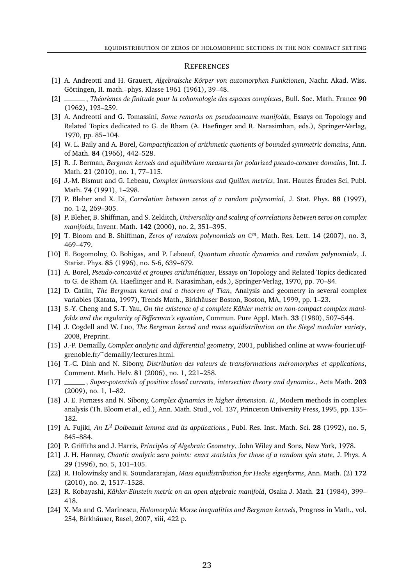#### **REFERENCES**

- [1] A. Andreotti and H. Grauert, *Algebraische Körper von automorphen Funktionen*, Nachr. Akad. Wiss. Göttingen, II. math.–phys. Klasse 1961 (1961), 39–48.
- [2] , *Théorèmes de finitude pour la cohomologie des espaces complexes*, Bull. Soc. Math. France **90** (1962), 193–259.
- [3] A. Andreotti and G. Tomassini, *Some remarks on pseudoconcave manifolds*, Essays on Topology and Related Topics dedicated to G. de Rham (A. Haefinger and R. Narasimhan, eds.), Springer-Verlag, 1970, pp. 85–104.
- [4] W. L. Baily and A. Borel, *Compactification of arithmetic quotients of bounded symmetric domains*, Ann. of Math. **84** (1966), 442–528.
- [5] R. J. Berman, *Bergman kernels and equilibrium measures for polarized pseudo-concave domains*, Int. J. Math. **21** (2010), no. 1, 77–115.
- [6] J.-M. Bismut and G. Lebeau, *Complex immersions and Quillen metrics*, Inst. Hautes Études Sci. Publ. Math. **74** (1991), 1–298.
- [7] P. Bleher and X. Di, *Correlation between zeros of a random polynomial*, J. Stat. Phys. **88** (1997), no. 1-2, 269–305.
- [8] P. Bleher, B. Shiffman, and S. Zelditch, *Universality and scaling of correlations between zeros on complex manifolds*, Invent. Math. **142** (2000), no. 2, 351–395.
- [9] T. Bloom and B. Shiffman, *Zeros of random polynomials on* C *<sup>m</sup>*, Math. Res. Lett. **14** (2007), no. 3, 469–479.
- [10] E. Bogomolny, O. Bohigas, and P. Leboeuf, *Quantum chaotic dynamics and random polynomials*, J. Statist. Phys. **85** (1996), no. 5-6, 639–679.
- [11] A. Borel, *Pseudo-concavité et groupes arithmétiques*, Essays on Topology and Related Topics dedicated to G. de Rham (A. Haeflinger and R. Narasimhan, eds.), Springer-Verlag, 1970, pp. 70–84.
- [12] D. Catlin, *The Bergman kernel and a theorem of Tian*, Analysis and geometry in several complex variables (Katata, 1997), Trends Math., Birkhäuser Boston, Boston, MA, 1999, pp. 1–23.
- [13] S.-Y. Cheng and S.-T. Yau, *On the existence of a complete Kähler metric on non-compact complex manifolds and the regularity of Fefferman's equation*, Commun. Pure Appl. Math. **33** (1980), 507–544.
- [14] J. Cogdell and W. Luo, *The Bergman kernel and mass equidistribution on the Siegel modular variety*, 2008, Preprint.
- [15] J.-P. Demailly, *Complex analytic and differential geometry*, 2001, published online at www-fourier.ujfgrenoble.fr/˜demailly/lectures.html.
- [16] T.-C. Dinh and N. Sibony, *Distribution des valeurs de transformations méromorphes et applications*, Comment. Math. Helv. **81** (2006), no. 1, 221–258.
- [17] , *Super-potentials of positive closed currents, intersection theory and dynamics.*, Acta Math. **203** (2009), no. 1, 1–82.
- [18] J. E. Fornæss and N. Sibony, *Complex dynamics in higher dimension. II.*, Modern methods in complex analysis (Th. Bloom et al., ed.), Ann. Math. Stud., vol. 137, Princeton University Press, 1995, pp. 135– 182.
- [19] A. Fujiki, *An L* <sup>2</sup> *Dolbeault lemma and its applications.*, Publ. Res. Inst. Math. Sci. **28** (1992), no. 5, 845–884.
- [20] P. Griffiths and J. Harris, *Principles of Algebraic Geometry*, John Wiley and Sons, New York, 1978.
- [21] J. H. Hannay, *Chaotic analytic zero points: exact statistics for those of a random spin state*, J. Phys. A **29** (1996), no. 5, 101–105.
- [22] R. Holowinsky and K. Soundararajan, *Mass equidistribution for Hecke eigenforms*, Ann. Math. (2) **172** (2010), no. 2, 1517–1528.
- [23] R. Kobayashi, *Kähler-Einstein metric on an open algebraic manifold*, Osaka J. Math. **21** (1984), 399– 418.
- [24] X. Ma and G. Marinescu, *Holomorphic Morse inequalities and Bergman kernels*, Progress in Math., vol. 254, Birkhäuser, Basel, 2007, xiii, 422 p.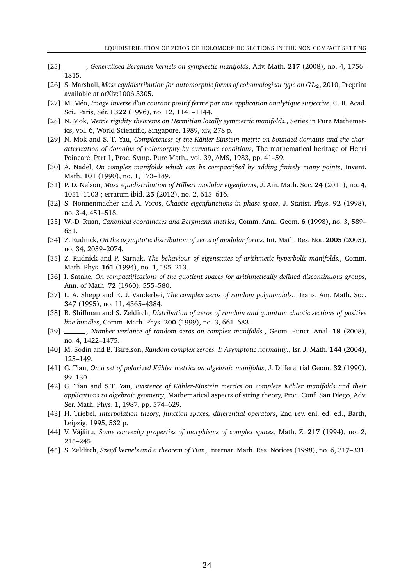- [25] , *Generalized Bergman kernels on symplectic manifolds*, Adv. Math. **217** (2008), no. 4, 1756– 1815.
- [26] S. Marshall, *Mass equidistribution for automorphic forms of cohomological type on GL*2, 2010, Preprint available at arXiv:1006.3305.
- [27] M. Méo, *Image inverse d'un courant positif fermé par une application analytique surjective*, C. R. Acad. Sci., Paris, Sér. I **322** (1996), no. 12, 1141–1144.
- [28] N. Mok, *Metric rigidity theorems on Hermitian locally symmetric manifolds.*, Series in Pure Mathematics, vol. 6, World Scientific, Singapore, 1989, xiv, 278 p.
- [29] N. Mok and S.-T. Yau, *Completeness of the Kähler-Einstein metric on bounded domains and the characterization of domains of holomorphy by curvature conditions*, The mathematical heritage of Henri Poincaré, Part 1, Proc. Symp. Pure Math., vol. 39, AMS, 1983, pp. 41–59.
- [30] A. Nadel, *On complex manifolds which can be compactified by adding finitely many points*, Invent. Math. **101** (1990), no. 1, 173–189.
- [31] P. D. Nelson, *Mass equidistribution of Hilbert modular eigenforms*, J. Am. Math. Soc. **24** (2011), no. 4, 1051–1103 ; erratum ibid. **25** (2012), no. 2, 615–616.
- [32] S. Nonnenmacher and A. Voros, *Chaotic eigenfunctions in phase space*, J. Statist. Phys. **92** (1998), no. 3-4, 451–518.
- [33] W.-D. Ruan, *Canonical coordinates and Bergmann metrics*, Comm. Anal. Geom. **6** (1998), no. 3, 589– 631.
- [34] Z. Rudnick, *On the asymptotic distribution of zeros of modular forms*, Int. Math. Res. Not. **2005** (2005), no. 34, 2059–2074.
- [35] Z. Rudnick and P. Sarnak, *The behaviour of eigenstates of arithmetic hyperbolic manifolds.*, Comm. Math. Phys. **161** (1994), no. 1, 195–213.
- [36] I. Satake, *On compactifications of the quotient spaces for arithmetically defined discontinuous groups*, Ann. of Math. **72** (1960), 555–580.
- [37] L. A. Shepp and R. J. Vanderbei, *The complex zeros of random polynomials.*, Trans. Am. Math. Soc. **347** (1995), no. 11, 4365–4384.
- [38] B. Shiffman and S. Zelditch, *Distribution of zeros of random and quantum chaotic sections of positive line bundles*, Comm. Math. Phys. **200** (1999), no. 3, 661–683.
- [39] , *Number variance of random zeros on complex manifolds.*, Geom. Funct. Anal. **18** (2008), no. 4, 1422–1475.
- [40] M. Sodin and B. Tsirelson, *Random complex zeroes. I: Asymptotic normality.*, Isr. J. Math. **144** (2004), 125–149.
- [41] G. Tian, *On a set of polarized Kähler metrics on algebraic manifolds*, J. Differential Geom. **32** (1990), 99–130.
- [42] G. Tian and S.T. Yau, *Existence of Kähler-Einstein metrics on complete Kähler manifolds and their applications to algebraic geometry*, Mathematical aspects of string theory, Proc. Conf. San Diego, Adv. Ser. Math. Phys. 1, 1987, pp. 574–629.
- [43] H. Triebel, *Interpolation theory, function spaces, differential operators*, 2nd rev. enl. ed. ed., Barth, Leipzig, 1995, 532 p.
- [44] V. Vâjâitu, *Some convexity properties of morphisms of complex spaces*, Math. Z. **217** (1994), no. 2, 215–245.
- [45] S. Zelditch, *Szeg˝o kernels and a theorem of Tian*, Internat. Math. Res. Notices (1998), no. 6, 317–331.